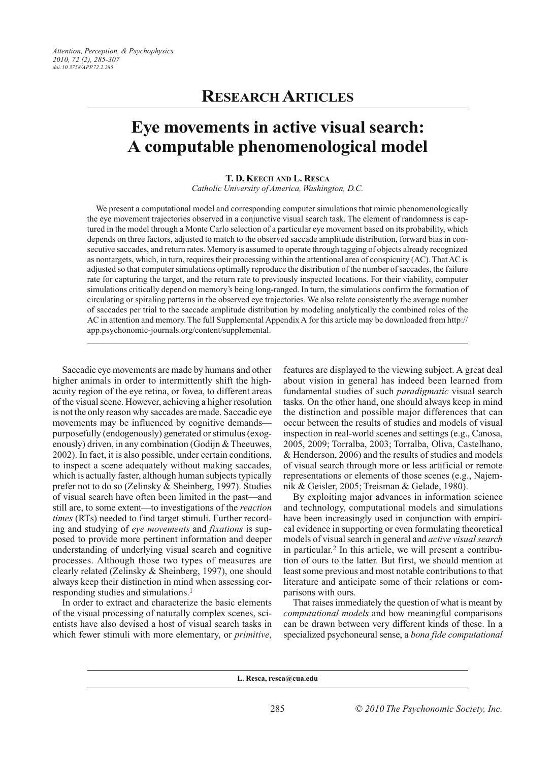## **RESEARCH ARTICLES**

# **Eye movements in active visual search: A computable phenomenological model**

## **T. D. KEECH AND L. RESCA**

*Catholic University of America, Washington, D.C.*

We present a computational model and corresponding computer simulations that mimic phenomenologically the eye movement trajectories observed in a conjunctive visual search task. The element of randomness is captured in the model through a Monte Carlo selection of a particular eye movement based on its probability, which depends on three factors, adjusted to match to the observed saccade amplitude distribution, forward bias in consecutive saccades, and return rates. Memory is assumed to operate through tagging of objects already recognized as nontargets, which, in turn, requires their processing within the attentional area of conspicuity (AC). That AC is adjusted so that computer simulations optimally reproduce the distribution of the number of saccades, the failure rate for capturing the target, and the return rate to previously inspected locations. For their viability, computer simulations critically depend on memory's being long-ranged. In turn, the simulations confirm the formation of circulating or spiraling patterns in the observed eye trajectories. We also relate consistently the average number of saccades per trial to the saccade amplitude distribution by modeling analytically the combined roles of the AC in attention and memory. The full Supplemental Appendix A for this article may be downloaded from http:// app.psychonomic-journals.org/content/supplemental.

Saccadic eye movements are made by humans and other higher animals in order to intermittently shift the high acuity region of the eye retina, or fovea, to different areas of the visual scene. However, achieving a higher resolution is not the only reason why saccades are made. Saccadic eye movements may be influenced by cognitive demands purposefully (endogenously) generated or stimulus (exogenously) driven, in any combination (Godijn & Theeuwes, 2002). In fact, it is also possible, under certain conditions, to inspect a scene adequately without making saccades, which is actually faster, although human subjects typically prefer not to do so (Zelinsky & Sheinberg, 1997). Studies of visual search have often been limited in the past—and still are, to some extent—to investigations of the *reaction times* (RTs) needed to find target stimuli. Further recording and studying of *eye movements* and *fixations* is supposed to provide more pertinent information and deeper understanding of underlying visual search and cognitive processes. Although those two types of measures are clearly related (Zelinsky & Sheinberg, 1997), one should always keep their distinction in mind when assessing corresponding studies and simulations.1

In order to extract and characterize the basic elements of the visual processing of naturally complex scenes, scientists have also devised a host of visual search tasks in which fewer stimuli with more elementary, or *primitive*, features are displayed to the viewing subject. A great deal about vision in general has indeed been learned from fundamental studies of such *paradigmatic* visual search tasks. On the other hand, one should always keep in mind the distinction and possible major differences that can occur between the results of studies and models of visual inspection in real-world scenes and settings (e.g., Canosa, 2005, 2009; Torralba, 2003; Torralba, Oliva, Castelhano, & Henderson, 2006) and the results of studies and models of visual search through more or less artificial or remote representations or elements of those scenes (e.g., Najemnik & Geisler, 2005; Treisman & Gelade, 1980).

By exploiting major advances in information science and technology, computational models and simulations have been increasingly used in conjunction with empirical evidence in supporting or even formulating theoretical models of visual search in general and *active visual search* in particular.2 In this article, we will present a contribution of ours to the latter. But first, we should mention at least some previous and most notable contributions to that literature and anticipate some of their relations or comparisons with ours.

That raises immediately the question of what is meant by *computational models* and how meaningful comparisons can be drawn between very different kinds of these. In a specialized psychoneural sense, a *bona fide computational* 

**L. Resca, resca@cua.edu**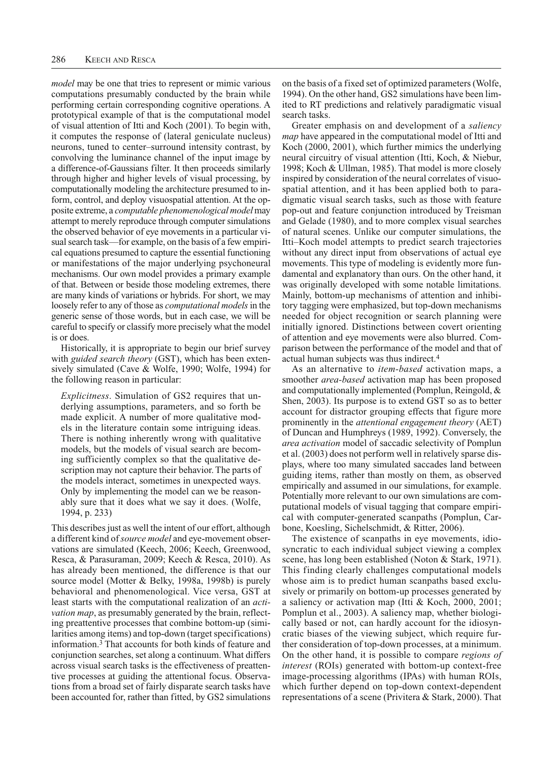*model* may be one that tries to represent or mimic various computations presumably conducted by the brain while performing certain corresponding cognitive operations. A prototypical example of that is the computational model of visual attention of Itti and Koch (2001). To begin with, it computes the response of (lateral geniculate nucleus) neurons, tuned to center–surround intensity contrast, by convolving the luminance channel of the input image by a difference-of-Gaussians filter. It then proceeds similarly through higher and higher levels of visual processing, by computationally modeling the architecture presumed to inform, control, and deploy visuospatial attention. At the opposite extreme, a *computable phenomenological model* may attempt to merely reproduce through computer simulations the observed behavior of eye movements in a particular visual search task—for example, on the basis of a few empirical equations presumed to capture the essential functioning or manifestations of the major underlying psychoneural mechanisms. Our own model provides a primary example of that. Between or beside those modeling extremes, there are many kinds of variations or hybrids. For short, we may loosely refer to any of those as *computational models* in the generic sense of those words, but in each case, we will be careful to specify or classify more precisely what the model is or does.

Historically, it is appropriate to begin our brief survey with *guided search theory* (GST), which has been extensively simulated (Cave & Wolfe, 1990; Wolfe, 1994) for the following reason in particular:

*Explicitness*. Simulation of GS2 requires that underlying assumptions, parameters, and so forth be made explicit. A number of more qualitative models in the literature contain some intriguing ideas. There is nothing inherently wrong with qualitative models, but the models of visual search are becoming sufficiently complex so that the qualitative description may not capture their behavior. The parts of the models interact, sometimes in unexpected ways. Only by implementing the model can we be reasonably sure that it does what we say it does. (Wolfe, 1994, p. 233)

This describes just as well the intent of our effort, although a different kind of *source model* and eye-movement observations are simulated (Keech, 2006; Keech, Greenwood, Resca, & Parasuraman, 2009; Keech & Resca, 2010). As has already been mentioned, the difference is that our source model (Motter & Belky, 1998a, 1998b) is purely behavioral and phenomenological. Vice versa, GST at least starts with the computational realization of an *activation map*, as presumably generated by the brain, reflecting preattentive processes that combine bottom-up (similarities among items) and top-down (target specifications) information.3 That accounts for both kinds of feature and conjunction searches, set along a continuum. What differs across visual search tasks is the effectiveness of preattentive processes at guiding the attentional focus. Observations from a broad set of fairly disparate search tasks have been accounted for, rather than fitted, by GS2 simulations

on the basis of a fixed set of optimized parameters (Wolfe, 1994). On the other hand, GS2 simulations have been limited to RT predictions and relatively paradigmatic visual search tasks.

Greater emphasis on and development of a *saliency map* have appeared in the computational model of Itti and Koch (2000, 2001), which further mimics the underlying neural circuitry of visual attention (Itti, Koch, & Niebur, 1998; Koch & Ullman, 1985). That model is more closely inspired by consideration of the neural correlates of visuospatial attention, and it has been applied both to paradigmatic visual search tasks, such as those with feature pop-out and feature conjunction introduced by Treisman and Gelade (1980), and to more complex visual searches of natural scenes. Unlike our computer simulations, the Itti–Koch model attempts to predict search trajectories without any direct input from observations of actual eye movements. This type of modeling is evidently more fundamental and explanatory than ours. On the other hand, it was originally developed with some notable limitations. Mainly, bottom-up mechanisms of attention and inhibitory tagging were emphasized, but top-down mechanisms needed for object recognition or search planning were initially ignored. Distinctions between covert orienting of attention and eye movements were also blurred. Comparison between the performance of the model and that of actual human subjects was thus indirect.4

As an alternative to *item-based* activation maps, a smoother *area-based* activation map has been proposed and computationally implemented (Pomplun, Reingold, & Shen, 2003). Its purpose is to extend GST so as to better account for distractor grouping effects that figure more prominently in the *attentional engagement theory* (AET) of Duncan and Humphreys (1989, 1992). Conversely, the *area activation* model of saccadic selectivity of Pomplun et al. (2003) does not perform well in relatively sparse displays, where too many simulated saccades land between guiding items, rather than mostly on them, as observed empirically and assumed in our simulations, for example. Potentially more relevant to our own simulations are computational models of visual tagging that compare empirical with computer-generated scanpaths (Pomplun, Carbone, Koesling, Sichelschmidt, & Ritter, 2006).

The existence of scanpaths in eye movements, idiosyncratic to each individual subject viewing a complex scene, has long been established (Noton & Stark, 1971). This finding clearly challenges computational models whose aim is to predict human scanpaths based exclusively or primarily on bottom-up processes generated by a saliency or activation map (Itti & Koch, 2000, 2001; Pomplun et al., 2003). A saliency map, whether biologically based or not, can hardly account for the idiosyncratic biases of the viewing subject, which require further consideration of top-down processes, at a minimum. On the other hand, it is possible to compare *regions of interest* (ROIs) generated with bottom-up context-free image-processing algorithms (IPAs) with human ROIs, which further depend on top-down context-dependent representations of a scene (Privitera & Stark, 2000). That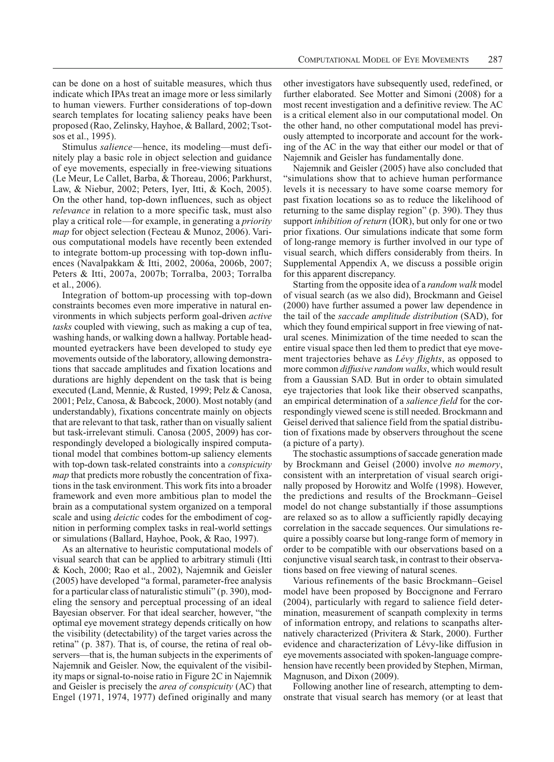can be done on a host of suitable measures, which thus indicate which IPAs treat an image more or less similarly to human viewers. Further considerations of top-down search templates for locating saliency peaks have been proposed (Rao, Zelinsky, Hayhoe, & Ballard, 2002; Tsotsos et al., 1995).

Stimulus *salience*—hence, its modeling—must definitely play a basic role in object selection and guidance of eye movements, especially in free-viewing situations (Le Meur, Le Callet, Barba, & Thoreau, 2006; Parkhurst, Law, & Niebur, 2002; Peters, Iyer, Itti, & Koch, 2005). On the other hand, top-down influences, such as object *relevance* in relation to a more specific task, must also play a critical role—for example, in generating a *priority map* for object selection (Fecteau & Munoz, 2006). Various computational models have recently been extended to integrate bottom-up processing with top-down influences (Navalpakkam & Itti, 2002, 2006a, 2006b, 2007; Peters & Itti, 2007a, 2007b; Torralba, 2003; Torralba et al., 2006).

Integration of bottom-up processing with top-down constraints becomes even more imperative in natural environments in which subjects perform goal-driven *active tasks* coupled with viewing, such as making a cup of tea, washing hands, or walking down a hallway. Portable headmounted eyetrackers have been developed to study eye movements outside of the laboratory, allowing demonstrations that saccade amplitudes and fixation locations and durations are highly dependent on the task that is being executed (Land, Mennie, & Rusted, 1999; Pelz & Canosa, 2001; Pelz, Canosa, & Babcock, 2000). Most notably (and understandably), fixations concentrate mainly on objects that are relevant to that task, rather than on visually salient but task-irrelevant stimuli. Canosa (2005, 2009) has correspondingly developed a biologically inspired computational model that combines bottom-up saliency elements with top-down task-related constraints into a *conspicuity map* that predicts more robustly the concentration of fixations in the task environment. This work fits into a broader framework and even more ambitious plan to model the brain as a computational system organized on a temporal scale and using *deictic* codes for the embodiment of cognition in performing complex tasks in real-world settings or simulations (Ballard, Hayhoe, Pook, & Rao, 1997).

As an alternative to heuristic computational models of visual search that can be applied to arbitrary stimuli (Itti & Koch, 2000; Rao et al., 2002), Najemnik and Geisler (2005) have developed "a formal, parameter-free analysis for a particular class of naturalistic stimuli" (p. 390), modeling the sensory and perceptual processing of an ideal Bayesian observer. For that ideal searcher, however, "the optimal eye movement strategy depends critically on how the visibility (detectability) of the target varies across the retina" (p. 387). That is, of course, the retina of real observers—that is, the human subjects in the experiments of Najemnik and Geisler. Now, the equivalent of the visibility maps or signal-to-noise ratio in Figure 2C in Najemnik and Geisler is precisely the *area of conspicuity* (AC) that Engel (1971, 1974, 1977) defined originally and many

other investigators have subsequently used, redefined, or further elaborated. See Motter and Simoni (2008) for a most recent investigation and a definitive review. The AC is a critical element also in our computational model. On the other hand, no other computational model has previously attempted to incorporate and account for the working of the AC in the way that either our model or that of Najemnik and Geisler has fundamentally done.

Najemnik and Geisler (2005) have also concluded that "simulations show that to achieve human performance levels it is necessary to have some coarse memory for past fixation locations so as to reduce the likelihood of returning to the same display region" (p. 390). They thus support *inhibition of return* (IOR), but only for one or two prior fixations. Our simulations indicate that some form of long-range memory is further involved in our type of visual search, which differs considerably from theirs. In Supplemental Appendix A, we discuss a possible origin for this apparent discrepancy.

Starting from the opposite idea of a *random walk* model of visual search (as we also did), Brockmann and Geisel (2000) have further assumed a power law dependence in the tail of the *saccade amplitude distribution* (SAD), for which they found empirical support in free viewing of natural scenes. Minimization of the time needed to scan the entire visual space then led them to predict that eye movement trajectories behave as *Lévy flights*, as opposed to more common *diffusive random walks*, which would result from a Gaussian SAD. But in order to obtain simulated eye trajectories that look like their observed scanpaths, an empirical determination of a *salience field* for the correspondingly viewed scene is still needed. Brockmann and Geisel derived that salience field from the spatial distribution of fixations made by observers throughout the scene (a picture of a party).

The stochastic assumptions of saccade generation made by Brockmann and Geisel (2000) involve *no memory*, consistent with an interpretation of visual search originally proposed by Horowitz and Wolfe (1998). However, the predictions and results of the Brockmann–Geisel model do not change substantially if those assumptions are relaxed so as to allow a sufficiently rapidly decaying correlation in the saccade sequences. Our simulations require a possibly coarse but long-range form of memory in order to be compatible with our observations based on a conjunctive visual search task, in contrast to their observations based on free viewing of natural scenes.

Various refinements of the basic Brockmann–Geisel model have been proposed by Boccignone and Ferraro (2004), particularly with regard to salience field determination, measurement of scanpath complexity in terms of information entropy, and relations to scanpaths alternatively characterized (Privitera & Stark, 2000). Further evidence and characterization of Lévy-like diffusion in eye movements associated with spoken-language comprehension have recently been provided by Stephen, Mirman, Magnuson, and Dixon (2009).

Following another line of research, attempting to demonstrate that visual search has memory (or at least that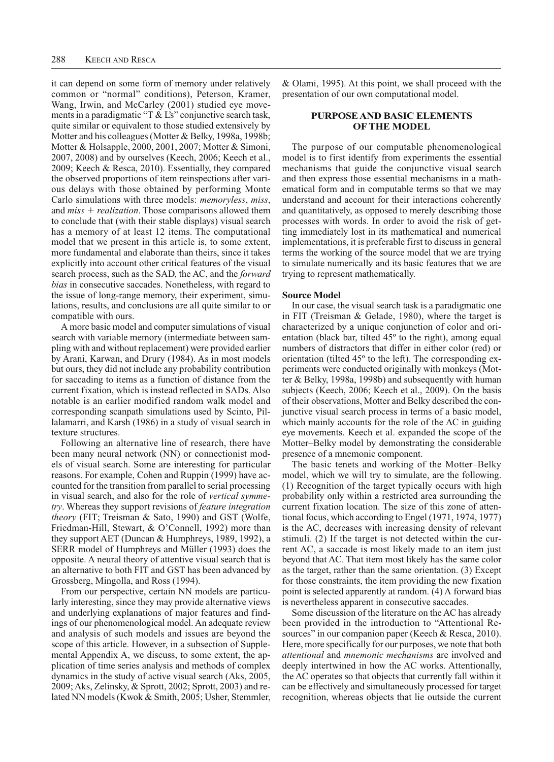it can depend on some form of memory under relatively common or "normal" conditions), Peterson, Kramer, Wang, Irwin, and McCarley (2001) studied eye movements in a paradigmatic "T & L's" conjunctive search task, quite similar or equivalent to those studied extensively by Motter and his colleagues (Motter & Belky, 1998a, 1998b; Motter & Holsapple, 2000, 2001, 2007; Motter & Simoni, 2007, 2008) and by ourselves (Keech, 2006; Keech et al., 2009; Keech & Resca, 2010). Essentially, they compared the observed proportions of item reinspections after various delays with those obtained by performing Monte Carlo simulations with three models: *memoryless*, *miss*, and *miss realization*. Those comparisons allowed them to conclude that (with their stable displays) visual search has a memory of at least 12 items. The computational model that we present in this article is, to some extent, more fundamental and elaborate than theirs, since it takes explicitly into account other critical features of the visual search process, such as the SAD, the AC, and the *forward bias* in consecutive saccades. Nonetheless, with regard to the issue of long-range memory, their experiment, simulations, results, and conclusions are all quite similar to or compatible with ours.

A more basic model and computer simulations of visual search with variable memory (intermediate between sampling with and without replacement) were provided earlier by Arani, Karwan, and Drury (1984). As in most models but ours, they did not include any probability contribution for saccading to items as a function of distance from the current fixation, which is instead reflected in SADs. Also notable is an earlier modified random walk model and corresponding scanpath simulations used by Scinto, Pillalamarri, and Karsh (1986) in a study of visual search in texture structures.

Following an alternative line of research, there have been many neural network (NN) or connectionist models of visual search. Some are interesting for particular reasons. For example, Cohen and Ruppin (1999) have accounted for the transition from parallel to serial processing in visual search, and also for the role of *vertical symmetry*. Whereas they support revisions of *feature integration theory* (FIT; Treisman & Sato, 1990) and GST (Wolfe, Friedman-Hill, Stewart, & O'Connell, 1992) more than they support AET (Duncan & Humphreys, 1989, 1992), a SERR model of Humphreys and Müller (1993) does the opposite. A neural theory of attentive visual search that is an alternative to both FIT and GST has been advanced by Grossberg, Mingolla, and Ross (1994).

From our perspective, certain NN models are particularly interesting, since they may provide alternative views and underlying explanations of major features and findings of our phenomenological model. An adequate review and analysis of such models and issues are beyond the scope of this article. However, in a subsection of Supplemental Appendix A, we discuss, to some extent, the application of time series analysis and methods of complex dynamics in the study of active visual search (Aks, 2005, 2009; Aks, Zelinsky, & Sprott, 2002; Sprott, 2003) and related NN models (Kwok & Smith, 2005; Usher, Stemmler,

& Olami, 1995). At this point, we shall proceed with the presentation of our own computational model.

## **PURPOSE AND BASIC ELEMENTS OF THE MODEL**

The purpose of our computable phenomenological model is to first identify from experiments the essential mechanisms that guide the conjunctive visual search and then express those essential mechanisms in a mathematical form and in computable terms so that we may understand and account for their interactions coherently and quantitatively, as opposed to merely describing those processes with words. In order to avoid the risk of getting immediately lost in its mathematical and numerical implementations, it is preferable first to discuss in general terms the working of the source model that we are trying to simulate numerically and its basic features that we are trying to represent mathematically.

#### **Source Model**

In our case, the visual search task is a paradigmatic one in FIT (Treisman & Gelade, 1980), where the target is characterized by a unique conjunction of color and orientation (black bar, tilted 45º to the right), among equal numbers of distractors that differ in either color (red) or orientation (tilted 45º to the left). The corresponding experiments were conducted originally with monkeys (Motter & Belky, 1998a, 1998b) and subsequently with human subjects (Keech, 2006; Keech et al., 2009). On the basis of their observations, Motter and Belky described the conjunctive visual search process in terms of a basic model, which mainly accounts for the role of the AC in guiding eye movements. Keech et al. expanded the scope of the Motter–Belky model by demonstrating the considerable presence of a mnemonic component.

The basic tenets and working of the Motter–Belky model, which we will try to simulate, are the following. (1) Recognition of the target typically occurs with high probability only within a restricted area surrounding the current fixation location. The size of this zone of attentional focus, which according to Engel (1971, 1974, 1977) is the AC, decreases with increasing density of relevant stimuli. (2) If the target is not detected within the current AC, a saccade is most likely made to an item just beyond that AC. That item most likely has the same color as the target, rather than the same orientation. (3) Except for those constraints, the item providing the new fixation point is selected apparently at random. (4) A forward bias is nevertheless apparent in consecutive saccades.

Some discussion of the literature on the AC has already been provided in the introduction to "Attentional Resources" in our companion paper (Keech & Resca, 2010). Here, more specifically for our purposes, we note that both *attentional* and *mnemonic mechanisms* are involved and deeply intertwined in how the AC works. Attentionally, the AC operates so that objects that currently fall within it can be effectively and simultaneously processed for target recognition, whereas objects that lie outside the current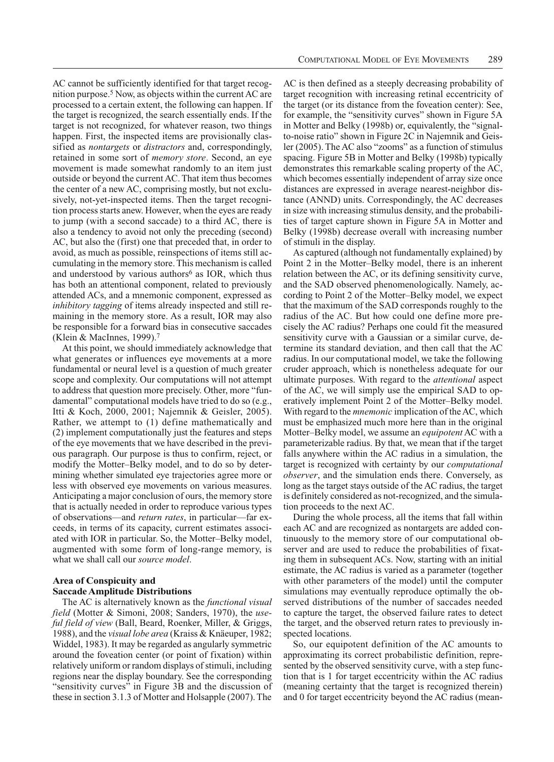AC cannot be sufficiently identified for that target recognition purpose.5 Now, as objects within the current AC are processed to a certain extent, the following can happen. If the target is recognized, the search essentially ends. If the target is not recognized, for whatever reason, two things happen. First, the inspected items are provisionally classified as *nontargets* or *distractors* and, correspondingly, retained in some sort of *memory store*. Second, an eye movement is made somewhat randomly to an item just outside or beyond the current AC. That item thus becomes the center of a new AC, comprising mostly, but not exclusively, not-yet-inspected items. Then the target recognition process starts anew. However, when the eyes are ready to jump (with a second saccade) to a third AC, there is also a tendency to avoid not only the preceding (second) AC, but also the (first) one that preceded that, in order to avoid, as much as possible, reinspections of items still accumulating in the memory store. This mechanism is called and understood by various authors<sup>6</sup> as IOR, which thus has both an attentional component, related to previously attended ACs, and a mnemonic component, expressed as *inhibitory tagging* of items already inspected and still remaining in the memory store. As a result, IOR may also be responsible for a forward bias in consecutive saccades (Klein & MacInnes, 1999).7

At this point, we should immediately acknowledge that what generates or influences eye movements at a more fundamental or neural level is a question of much greater scope and complexity. Our computations will not attempt to address that question more precisely. Other, more "fundamental" computational models have tried to do so (e.g., Itti & Koch, 2000, 2001; Najemnik & Geisler, 2005). Rather, we attempt to (1) define mathematically and (2) implement computationally just the features and steps of the eye movements that we have described in the previous paragraph. Our purpose is thus to confirm, reject, or modify the Motter–Belky model, and to do so by determining whether simulated eye trajectories agree more or less with observed eye movements on various measures. Anticipating a major conclusion of ours, the memory store that is actually needed in order to reproduce various types of observations—and *return rates*, in particular—far exceeds, in terms of its capacity, current estimates associated with IOR in particular. So, the Motter–Belky model, augmented with some form of long-range memory, is what we shall call our *source model*.

## **Area of Conspicuity and Saccade Amplitude Distributions**

The AC is alternatively known as the *functional visual field* (Motter & Simoni, 2008; Sanders, 1970), the *useful field of view* (Ball, Beard, Roenker, Miller, & Griggs, 1988), and the *visual lobe area* (Kraiss & Knäeuper, 1982; Widdel, 1983). It may be regarded as angularly symmetric around the foveation center (or point of fixation) within relatively uniform or random displays of stimuli, including regions near the display boundary. See the corresponding "sensitivity curves" in Figure 3B and the discussion of these in section 3.1.3 of Motter and Holsapple (2007). The

AC is then defined as a steeply decreasing probability of target recognition with increasing retinal eccentricity of the target (or its distance from the foveation center): See, for example, the "sensitivity curves" shown in Figure 5A in Motter and Belky (1998b) or, equivalently, the "signalto-noise ratio" shown in Figure 2C in Najemnik and Geisler (2005). The AC also "zooms" as a function of stimulus spacing. Figure 5B in Motter and Belky (1998b) typically demonstrates this remarkable scaling property of the AC, which becomes essentially independent of array size once distances are expressed in average nearest-neighbor distance (ANND) units. Correspondingly, the AC decreases in size with increasing stimulus density, and the probabilities of target capture shown in Figure 5A in Motter and Belky (1998b) decrease overall with increasing number of stimuli in the display.

As captured (although not fundamentally explained) by Point 2 in the Motter–Belky model, there is an inherent relation between the AC, or its defining sensitivity curve, and the SAD observed phenomenologically. Namely, according to Point 2 of the Motter–Belky model, we expect that the maximum of the SAD corresponds roughly to the radius of the AC. But how could one define more precisely the AC radius? Perhaps one could fit the measured sensitivity curve with a Gaussian or a similar curve, determine its standard deviation, and then call that the AC radius. In our computational model, we take the following cruder approach, which is nonetheless adequate for our ultimate purposes. With regard to the *attentional* aspect of the AC, we will simply use the empirical SAD to operatively implement Point 2 of the Motter–Belky model. With regard to the *mnemonic* implication of the AC, which must be emphasized much more here than in the original Motter–Belky model, we assume an *equipotent* AC with a parameterizable radius. By that, we mean that if the target falls anywhere within the AC radius in a simulation, the target is recognized with certainty by our *computational observer*, and the simulation ends there. Conversely, as long as the target stays outside of the AC radius, the target is definitely considered as not-recognized, and the simulation proceeds to the next AC.

During the whole process, all the items that fall within each AC and are recognized as nontargets are added continuously to the memory store of our computational observer and are used to reduce the probabilities of fixating them in subsequent ACs. Now, starting with an initial estimate, the AC radius is varied as a parameter (together with other parameters of the model) until the computer simulations may eventually reproduce optimally the observed distributions of the number of saccades needed to capture the target, the observed failure rates to detect the target, and the observed return rates to previously inspected locations.

So, our equipotent definition of the AC amounts to approximating its correct probabilistic definition, represented by the observed sensitivity curve, with a step function that is 1 for target eccentricity within the AC radius (meaning certainty that the target is recognized therein) and 0 for target eccentricity beyond the AC radius (mean-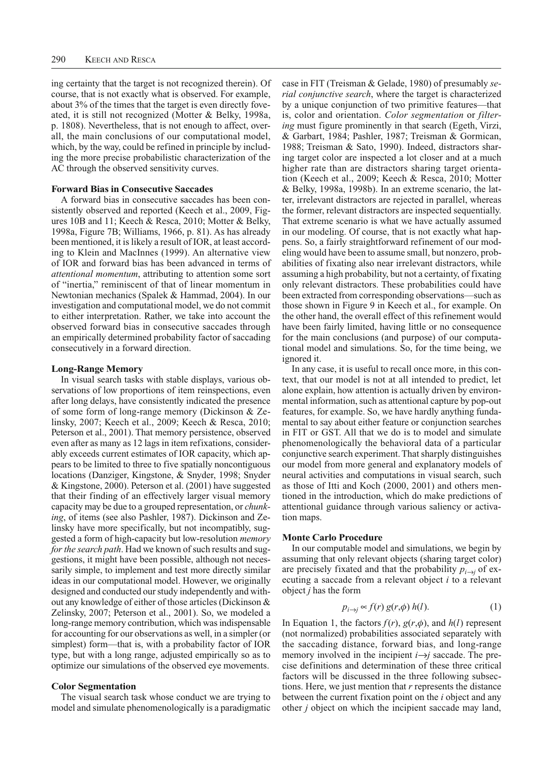ing certainty that the target is not recognized therein). Of course, that is not exactly what is observed. For example, about 3% of the times that the target is even directly foveated, it is still not recognized (Motter & Belky, 1998a, p. 1808). Nevertheless, that is not enough to affect, overall, the main conclusions of our computational model, which, by the way, could be refined in principle by including the more precise probabilistic characterization of the AC through the observed sensitivity curves.

### **Forward Bias in Consecutive Saccades**

A forward bias in consecutive saccades has been consistently observed and reported (Keech et al., 2009, Figures 10B and 11; Keech & Resca, 2010; Motter & Belky, 1998a, Figure 7B; Williams, 1966, p. 81). As has already been mentioned, it is likely a result of IOR, at least according to Klein and MacInnes (1999). An alternative view of IOR and forward bias has been advanced in terms of *attentional momentum*, attributing to attention some sort of "inertia," reminiscent of that of linear momentum in Newtonian mechanics (Spalek & Hammad, 2004). In our investigation and computational model, we do not commit to either interpretation. Rather, we take into account the observed forward bias in consecutive saccades through an empirically determined probability factor of saccading consecutively in a forward direction.

#### **Long-Range Memory**

In visual search tasks with stable displays, various observations of low proportions of item reinspections, even after long delays, have consistently indicated the presence of some form of long-range memory (Dickinson & Zelinsky, 2007; Keech et al., 2009; Keech & Resca, 2010; Peterson et al., 2001). That memory persistence, observed even after as many as 12 lags in item refixations, considerably exceeds current estimates of IOR capacity, which appears to be limited to three to five spatially noncontiguous locations (Danziger, Kingstone, & Snyder, 1998; Snyder & Kingstone, 2000). Peterson et al. (2001) have suggested that their finding of an effectively larger visual memory capacity may be due to a grouped representation, or *chunking*, of items (see also Pashler, 1987). Dickinson and Zelinsky have more specifically, but not incompatibly, suggested a form of high-capacity but low-resolution *memory for the search path*. Had we known of such results and suggestions, it might have been possible, although not necessarily simple, to implement and test more directly similar ideas in our computational model. However, we originally designed and conducted our study independently and without any knowledge of either of those articles (Dickinson & Zelinsky, 2007; Peterson et al., 2001). So, we modeled a long-range memory contribution, which was indispensable for accounting for our observations as well, in a simpler (or simplest) form—that is, with a probability factor of IOR type, but with a long range, adjusted empirically so as to optimize our simulations of the observed eye movements.

## **Color Segmentation**

The visual search task whose conduct we are trying to model and simulate phenomenologically is a paradigmatic

case in FIT (Treisman & Gelade, 1980) of presumably *serial conjunctive search*, where the target is characterized by a unique conjunction of two primitive features—that is, color and orientation. *Color segmentation* or *filtering* must figure prominently in that search (Egeth, Virzi, & Garbart, 1984; Pashler, 1987; Treisman & Gormican, 1988; Treisman & Sato, 1990). Indeed, distractors sharing target color are inspected a lot closer and at a much higher rate than are distractors sharing target orientation (Keech et al., 2009; Keech & Resca, 2010; Motter & Belky, 1998a, 1998b). In an extreme scenario, the latter, irrelevant distractors are rejected in parallel, whereas the former, relevant distractors are inspected sequentially. That extreme scenario is what we have actually assumed in our modeling. Of course, that is not exactly what happens. So, a fairly straightforward refinement of our modeling would have been to assume small, but nonzero, probabilities of fixating also near irrelevant distractors, while assuming a high probability, but not a certainty, of fixating only relevant distractors. These probabilities could have been extracted from corresponding observations—such as those shown in Figure 9 in Keech et al., for example. On the other hand, the overall effect of this refinement would have been fairly limited, having little or no consequence for the main conclusions (and purpose) of our computational model and simulations. So, for the time being, we ignored it.

In any case, it is useful to recall once more, in this context, that our model is not at all intended to predict, let alone explain, how attention is actually driven by environmental information, such as attentional capture by pop-out features, for example. So, we have hardly anything fundamental to say about either feature or conjunction searches in FIT or GST. All that we do is to model and simulate phenomenologically the behavioral data of a particular conjunctive search experiment. That sharply distinguishes our model from more general and explanatory models of neural activities and computations in visual search, such as those of Itti and Koch (2000, 2001) and others mentioned in the introduction, which do make predictions of attentional guidance through various saliency or activation maps.

#### **Monte Carlo Procedure**

In our computable model and simulations, we begin by assuming that only relevant objects (sharing target color) are precisely fixated and that the probability  $p_{i\rightarrow j}$  of executing a saccade from a relevant object *i* to a relevant object *j* has the form

$$
p_{i \to j} \propto f(r) g(r, \phi) h(l). \tag{1}
$$

In Equation 1, the factors  $f(r)$ ,  $g(r, \phi)$ , and  $h(l)$  represent (not normalized) probabilities associated separately with the saccading distance, forward bias, and long-range memory involved in the incipient  $i \rightarrow j$  saccade. The precise definitions and determination of these three critical factors will be discussed in the three following subsections. Here, we just mention that *r* represents the distance between the current fixation point on the *i* object and any other *j* object on which the incipient saccade may land,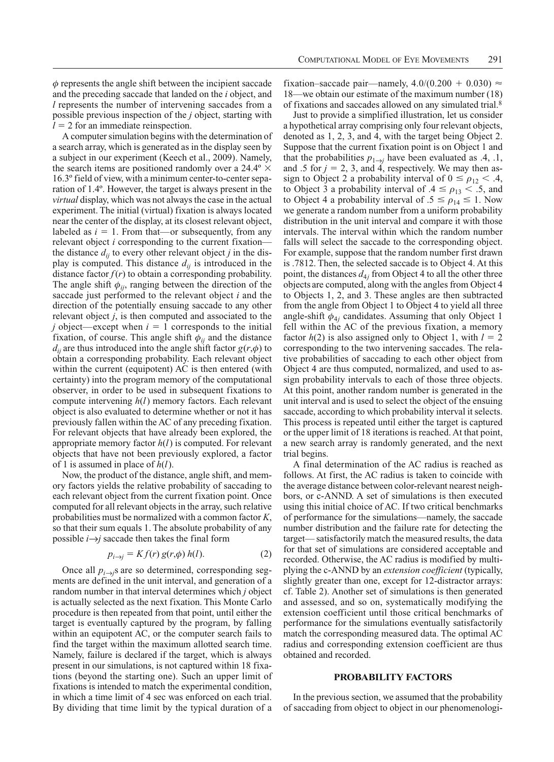$\phi$  represents the angle shift between the incipient saccade and the preceding saccade that landed on the *i* object, and *l* represents the number of intervening saccades from a possible previous inspection of the *j* object, starting with  $l = 2$  for an immediate reinspection.

A computer simulation begins with the determination of a search array, which is generated as in the display seen by a subject in our experiment (Keech et al., 2009). Namely, the search items are positioned randomly over a 24.4 $\degree \times$ 16.3º field of view, with a minimum center-to-center separation of 1.4º. However, the target is always present in the *virtual* display, which was not always the case in the actual experiment. The initial (virtual) fixation is always located near the center of the display, at its closest relevant object, labeled as  $i = 1$ . From that—or subsequently, from any relevant object *i* corresponding to the current fixation the distance  $d_{ij}$  to every other relevant object *j* in the display is computed. This distance  $d_{ij}$  is introduced in the distance factor  $f(r)$  to obtain a corresponding probability. The angle shift  $\phi_{ij}$ , ranging between the direction of the saccade just performed to the relevant object *i* and the direction of the potentially ensuing saccade to any other relevant object *j*, is then computed and associated to the *j* object—except when  $i = 1$  corresponds to the initial fixation, of course. This angle shift  $\phi_{ij}$  and the distance  $d_{ij}$  are thus introduced into the angle shift factor  $g(r,\phi)$  to obtain a corresponding probability. Each relevant object within the current (equipotent) AC is then entered (with certainty) into the program memory of the computational observer, in order to be used in subsequent fixations to compute intervening *h*(*l*) memory factors. Each relevant object is also evaluated to determine whether or not it has previously fallen within the AC of any preceding fixation. For relevant objects that have already been explored, the appropriate memory factor *h*(*l*) is computed. For relevant objects that have not been previously explored, a factor of 1 is assumed in place of *h*(*l*).

Now, the product of the distance, angle shift, and memory factors yields the relative probability of saccading to each relevant object from the current fixation point. Once computed for all relevant objects in the array, such relative probabilities must be normalized with a common factor *K*, so that their sum equals 1. The absolute probability of any possible  $i \rightarrow j$  saccade then takes the final form

$$
p_{i \to j} = K f(r) g(r, \phi) h(l). \tag{2}
$$

Once all  $p_{i\rightarrow j}$ s are so determined, corresponding segments are defined in the unit interval, and generation of a random number in that interval determines which *j* object is actually selected as the next fixation. This Monte Carlo procedure is then repeated from that point, until either the target is eventually captured by the program, by falling within an equipotent AC, or the computer search fails to find the target within the maximum allotted search time. Namely, failure is declared if the target, which is always present in our simulations, is not captured within 18 fixations (beyond the starting one). Such an upper limit of fixations is intended to match the experimental condition, in which a time limit of 4 sec was enforced on each trial. By dividing that time limit by the typical duration of a

fixation–saccade pair—namely,  $4.0/(0.200 + 0.030) \approx$ 18—we obtain our estimate of the maximum number (18) of fixations and saccades allowed on any simulated trial.8

Just to provide a simplified illustration, let us consider a hypothetical array comprising only four relevant objects, denoted as 1, 2, 3, and 4, with the target being Object 2. Suppose that the current fixation point is on Object 1 and that the probabilities  $p_{1\rightarrow j}$  have been evaluated as .4, .1, and .5 for  $j = 2, 3$ , and 4, respectively. We may then assign to Object 2 a probability interval of  $0 \le \rho_{12} < .4$ , to Object 3 a probability interval of  $.4 \leq \rho_{13} < .5$ , and to Object 4 a probability interval of  $.5 \le \rho_{14} \le 1$ . Now we generate a random number from a uniform probability distribution in the unit interval and compare it with those intervals. The interval within which the random number falls will select the saccade to the corresponding object. For example, suppose that the random number first drawn is .7812. Then, the selected saccade is to Object 4. At this point, the distances  $d_{4j}$  from Object 4 to all the other three objects are computed, along with the angles from Object 4 to Objects 1, 2, and 3. These angles are then subtracted from the angle from Object 1 to Object 4 to yield all three angle-shift  $\phi_{4j}$  candidates. Assuming that only Object 1 fell within the AC of the previous fixation, a memory factor  $h(2)$  is also assigned only to Object 1, with  $l = 2$ corresponding to the two intervening saccades. The relative probabilities of saccading to each other object from Object 4 are thus computed, normalized, and used to assign probability intervals to each of those three objects. At this point, another random number is generated in the unit interval and is used to select the object of the ensuing saccade, according to which probability interval it selects. This process is repeated until either the target is captured or the upper limit of 18 iterations is reached. At that point, a new search array is randomly generated, and the next trial begins.

A final determination of the AC radius is reached as follows. At first, the AC radius is taken to coincide with the average distance between color-relevant nearest neighbors, or c-ANND. A set of simulations is then executed using this initial choice of AC. If two critical benchmarks of performance for the simulations—namely, the saccade number distribution and the failure rate for detecting the target— satisfactorily match the measured results, the data for that set of simulations are considered acceptable and recorded. Otherwise, the AC radius is modified by multiplying the c-ANND by an *extension coefficient* (typically, slightly greater than one, except for 12-distractor arrays: cf. Table 2). Another set of simulations is then generated and assessed, and so on, systematically modifying the extension coefficient until those critical benchmarks of performance for the simulations eventually satisfactorily match the corresponding measured data. The optimal AC radius and corresponding extension coefficient are thus obtained and recorded.

#### **PROBABILITY FACTORS**

In the previous section, we assumed that the probability of saccading from object to object in our phenomenologi-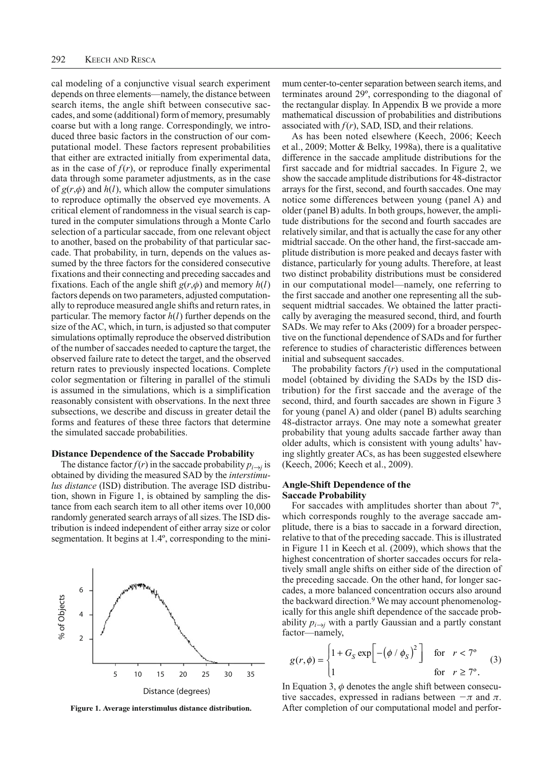cal modeling of a conjunctive visual search experiment depends on three elements—namely, the distance between search items, the angle shift between consecutive saccades, and some (additional) form of memory, presumably coarse but with a long range. Correspondingly, we introduced three basic factors in the construction of our computational model. These factors represent probabilities that either are extracted initially from experimental data, as in the case of  $f(r)$ , or reproduce finally experimental data through some parameter adjustments, as in the case of  $g(r,\phi)$  and  $h(l)$ , which allow the computer simulations to reproduce optimally the observed eye movements. A critical element of randomness in the visual search is captured in the computer simulations through a Monte Carlo selection of a particular saccade, from one relevant object to another, based on the probability of that particular saccade. That probability, in turn, depends on the values assumed by the three factors for the considered consecutive fixations and their connecting and preceding saccades and fixations. Each of the angle shift  $g(r,\phi)$  and memory  $h(l)$ factors depends on two parameters, adjusted computationally to reproduce measured angle shifts and return rates, in particular. The memory factor *h*(*l*) further depends on the size of the AC, which, in turn, is adjusted so that computer simulations optimally reproduce the observed distribution of the number of saccades needed to capture the target, the observed failure rate to detect the target, and the observed return rates to previously inspected locations. Complete color segmentation or filtering in parallel of the stimuli is assumed in the simulations, which is a simplification reasonably consistent with observations. In the next three subsections, we describe and discuss in greater detail the forms and features of these three factors that determine the simulated saccade probabilities.

#### **Distance Dependence of the Saccade Probability**

The distance factor  $f(r)$  in the saccade probability  $p_{i\rightarrow j}$  is obtained by dividing the measured SAD by the *interstimulus distance* (ISD) distribution. The average ISD distribution, shown in Figure 1, is obtained by sampling the distance from each search item to all other items over 10,000 randomly generated search arrays of all sizes. The ISD distribution is indeed independent of either array size or color segmentation. It begins at 1.4º, corresponding to the mini-



**Figure 1. Average interstimulus distance distribution.**

mum center-to-center separation between search items, and terminates around 29º, corresponding to the diagonal of the rectangular display. In Appendix B we provide a more mathematical discussion of probabilities and distributions associated with  $f(r)$ , SAD, ISD, and their relations.

As has been noted elsewhere (Keech, 2006; Keech et al., 2009; Motter & Belky, 1998a), there is a qualitative difference in the saccade amplitude distributions for the first saccade and for midtrial saccades. In Figure 2, we show the saccade amplitude distributions for 48-distractor arrays for the first, second, and fourth saccades. One may notice some differences between young (panel A) and older (panel B) adults. In both groups, however, the amplitude distributions for the second and fourth saccades are relatively similar, and that is actually the case for any other midtrial saccade. On the other hand, the first-saccade amplitude distribution is more peaked and decays faster with distance, particularly for young adults. Therefore, at least two distinct probability distributions must be considered in our computational model—namely, one referring to the first saccade and another one representing all the subsequent midtrial saccades. We obtained the latter practically by averaging the measured second, third, and fourth SADs. We may refer to Aks (2009) for a broader perspective on the functional dependence of SADs and for further reference to studies of characteristic differences between initial and subsequent saccades.

The probability factors  $f(r)$  used in the computational model (obtained by dividing the SADs by the ISD distribution) for the first saccade and the average of the second, third, and fourth saccades are shown in Figure 3 for young (panel A) and older (panel B) adults searching 48- distractor arrays. One may note a somewhat greater probability that young adults saccade farther away than older adults, which is consistent with young adults' having slightly greater ACs, as has been suggested elsewhere (Keech, 2006; Keech et al., 2009).

#### **Angle-Shift Dependence of the Saccade Probability**

For saccades with amplitudes shorter than about 7º, which corresponds roughly to the average saccade amplitude, there is a bias to saccade in a forward direction, relative to that of the preceding saccade. This is illustrated in Figure 11 in Keech et al. (2009), which shows that the highest concentration of shorter saccades occurs for relatively small angle shifts on either side of the direction of the preceding saccade. On the other hand, for longer saccades, a more balanced concentration occurs also around the backward direction.9 We may account phenomenologically for this angle shift dependence of the saccade probability  $p_{i\rightarrow i}$  with a partly Gaussian and a partly constant factor—namely,

$$
g(r,\phi) = \begin{cases} 1 + G_S \exp\left[-\left(\phi / \phi_S\right)^2\right] & \text{for } r < 7^\circ\\ 1 & \text{for } r \ge 7^\circ. \end{cases}
$$
 (3)

In Equation 3,  $\phi$  denotes the angle shift between consecutive saccades, expressed in radians between  $-\pi$  and  $\pi$ . After completion of our computational model and perfor-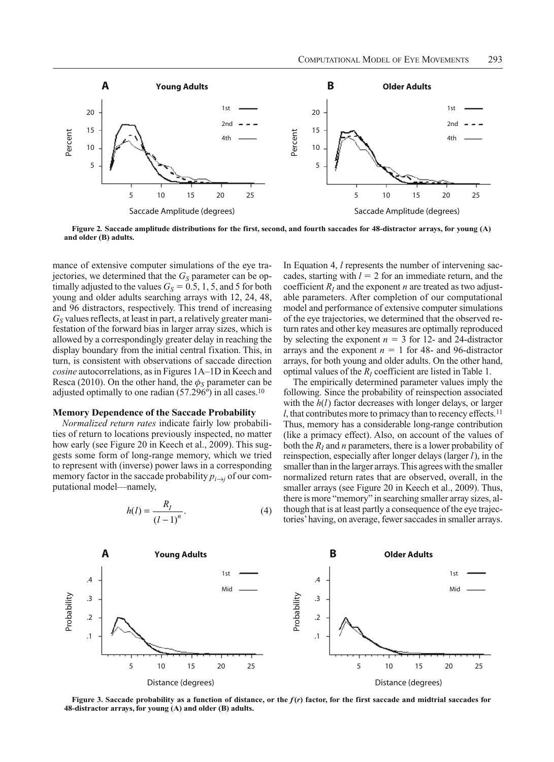

**Figure 2***.* **Saccade amplitude distributions for the first, second, and fourth saccades for 48-distractor arrays, for young (A) and older (B) adults.**

mance of extensive computer simulations of the eye trajectories, we determined that the  $G<sub>S</sub>$  parameter can be optimally adjusted to the values  $G_S = 0.5, 1, 5,$  and 5 for both young and older adults searching arrays with 12, 24, 48, and 96 distractors, respectively. This trend of increasing  $G<sub>S</sub>$  values reflects, at least in part, a relatively greater manifestation of the forward bias in larger array sizes, which is allowed by a correspondingly greater delay in reaching the display boundary from the initial central fixation. This, in turn, is consistent with observations of saccade direction *cosine* autocorrelations, as in Figures 1A–1D in Keech and Resca (2010). On the other hand, the  $\phi_s$  parameter can be adjusted optimally to one radian (57.296º) in all cases.10

#### **Memory Dependence of the Saccade Probability**

*Normalized return rates* indicate fairly low probabilities of return to locations previously inspected, no matter how early (see Figure 20 in Keech et al., 2009). This suggests some form of long-range memory, which we tried to represent with (inverse) power laws in a corresponding memory factor in the saccade probability  $p_{i\rightarrow j}$  of our computational model—namely,

$$
h(l) = \frac{R_I}{(l-1)^n}.\tag{4}
$$

In Equation 4, *l* represents the number of intervening saccades, starting with  $l = 2$  for an immediate return, and the coefficient  $R_I$  and the exponent *n* are treated as two adjustable parameters. After completion of our computational model and performance of extensive computer simulations of the eye trajectories, we determined that the observed return rates and other key measures are optimally reproduced by selecting the exponent  $n = 3$  for 12- and 24-distractor arrays and the exponent  $n = 1$  for 48- and 96-distractor arrays, for both young and older adults. On the other hand, optimal values of the  $R_I$  coefficient are listed in Table 1.

The empirically determined parameter values imply the following. Since the probability of reinspection associated with the  $h(l)$  factor decreases with longer delays, or larger *l*, that contributes more to primacy than to recency effects.<sup>11</sup> Thus, memory has a considerable long-range contribution (like a primacy effect). Also, on account of the values of both the  $R<sub>I</sub>$  and *n* parameters, there is a lower probability of reinspection, especially after longer delays (larger *l*), in the smaller than in the larger arrays. This agrees with the smaller normalized return rates that are observed, overall, in the smaller arrays (see Figure 20 in Keech et al., 2009). Thus, there is more "memory" in searching smaller array sizes, although that is at least partly a consequence of the eye trajectories' having, on average, fewer saccades in smaller arrays.



**Figure 3. Saccade probability as a function of distance, or the**  $f(r)$  **factor, for the first saccade and midtrial saccades for 48-distractor arrays, for young (A) and older (B) adults.**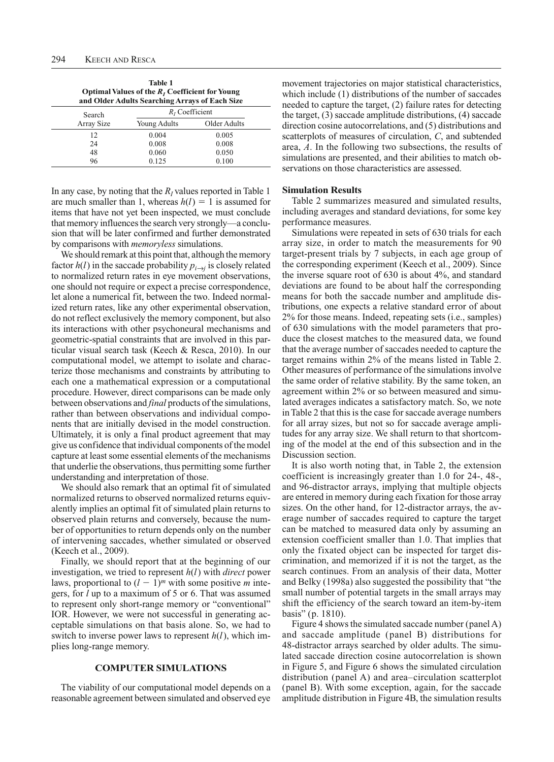| <b>Table 1</b><br>Optimal Values of the $R_I$ Coefficient for Young<br>and Older Adults Searching Arrays of Each Size |                     |              |  |  |  |
|-----------------------------------------------------------------------------------------------------------------------|---------------------|--------------|--|--|--|
| Search                                                                                                                | $RI$ Coefficient    |              |  |  |  |
| Array Size                                                                                                            | <b>Young Adults</b> | Older Adults |  |  |  |
| 12                                                                                                                    | 0.004               | 0.005        |  |  |  |
| 24                                                                                                                    | 0.008               | 0.008        |  |  |  |
| 48                                                                                                                    | 0.060               | 0.050        |  |  |  |
| 96                                                                                                                    | 0.125               | 0.100        |  |  |  |

In any case, by noting that the  $R<sub>I</sub>$  values reported in Table 1 are much smaller than 1, whereas  $h(l) = 1$  is assumed for items that have not yet been inspected, we must conclude that memory influences the search very strongly—a conclusion that will be later confirmed and further demonstrated by comparisons with *memoryless* simulations.

We should remark at this point that, although the memory factor  $h(l)$  in the saccade probability  $p_{i\rightarrow i}$  is closely related to normalized return rates in eye movement observations, one should not require or expect a precise correspondence, let alone a numerical fit, between the two. Indeed normalized return rates, like any other experimental observation, do not reflect exclusively the memory component, but also its interactions with other psychoneural mechanisms and geometric-spatial constraints that are involved in this particular visual search task (Keech & Resca, 2010). In our computational model, we attempt to isolate and characterize those mechanisms and constraints by attributing to each one a mathematical expression or a computational procedure. However, direct comparisons can be made only between observations and *final* products of the simulations, rather than between observations and individual components that are initially devised in the model construction. Ultimately, it is only a final product agreement that may give us confidence that individual components of the model capture at least some essential elements of the mechanisms that underlie the observations, thus permitting some further understanding and interpretation of those.

We should also remark that an optimal fit of simulated normalized returns to observed normalized returns equivalently implies an optimal fit of simulated plain returns to observed plain returns and conversely, because the number of opportunities to return depends only on the number of intervening saccades, whether simulated or observed (Keech et al., 2009).

Finally, we should report that at the beginning of our investigation, we tried to represent *h*(*l*) with *direct* power laws, proportional to  $(l - 1)^m$  with some positive *m* integers, for *l* up to a maximum of 5 or 6. That was assumed to represent only short-range memory or "conventional" IOR. However, we were not successful in generating acceptable simulations on that basis alone. So, we had to switch to inverse power laws to represent *h*(*l*), which implies long-range memory.

#### **COMPUTER SIMULATIONS**

The viability of our computational model depends on a reasonable agreement between simulated and observed eye

movement trajectories on major statistical characteristics, which include (1) distributions of the number of saccades needed to capture the target, (2) failure rates for detecting the target, (3) saccade amplitude distributions, (4) saccade direction cosine autocorrelations, and (5) distributions and scatterplots of measures of circulation, *C*, and subtended area, *A*. In the following two subsections, the results of simulations are presented, and their abilities to match observations on those characteristics are assessed.

#### **Simulation Results**

Table 2 summarizes measured and simulated results, including averages and standard deviations, for some key performance measures.

Simulations were repeated in sets of 630 trials for each array size, in order to match the measurements for 90 target-present trials by 7 subjects, in each age group of the corresponding experiment (Keech et al., 2009). Since the inverse square root of 630 is about 4%, and standard deviations are found to be about half the corresponding means for both the saccade number and amplitude distributions, one expects a relative standard error of about 2% for those means. Indeed, repeating sets (i.e., samples) of 630 simulations with the model parameters that produce the closest matches to the measured data, we found that the average number of saccades needed to capture the target remains within 2% of the means listed in Table 2. Other measures of performance of the simulations involve the same order of relative stability. By the same token, an agreement within 2% or so between measured and simulated averages indicates a satisfactory match. So, we note in Table 2 that this is the case for saccade average numbers for all array sizes, but not so for saccade average amplitudes for any array size. We shall return to that shortcoming of the model at the end of this subsection and in the Discussion section.

It is also worth noting that, in Table 2, the extension coefficient is increasingly greater than 1.0 for 24-, 48-, and 96-distractor arrays, implying that multiple objects are entered in memory during each fixation for those array sizes. On the other hand, for 12-distractor arrays, the average number of saccades required to capture the target can be matched to measured data only by assuming an extension coefficient smaller than 1.0. That implies that only the fixated object can be inspected for target discrimination, and memorized if it is not the target, as the search continues. From an analysis of their data, Motter and Belky (1998a) also suggested the possibility that "the small number of potential targets in the small arrays may shift the efficiency of the search toward an item-by-item basis" (p. 1810).

Figure 4 shows the simulated saccade number (panel A) and saccade amplitude (panel B) distributions for 48- distractor arrays searched by older adults. The simulated saccade direction cosine autocorrelation is shown in Figure 5, and Figure 6 shows the simulated circulation distribution (panel A) and area–circulation scatterplot (panel B). With some exception, again, for the saccade amplitude distribution in Figure 4B, the simulation results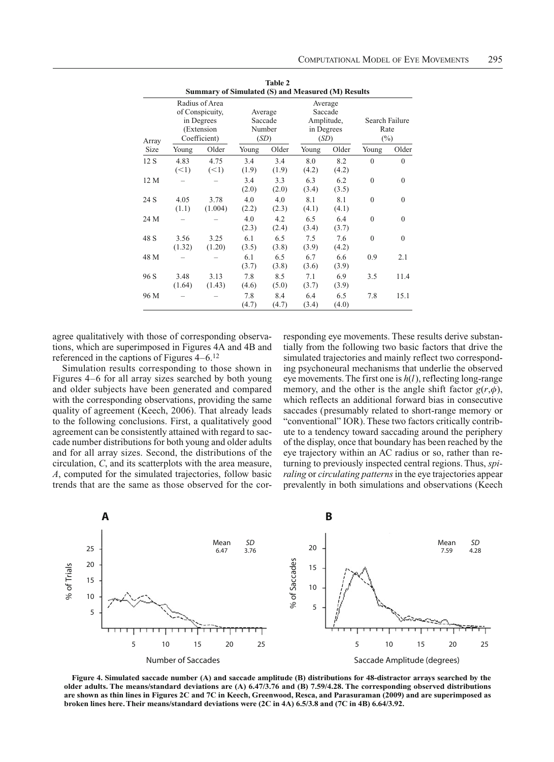| <b>Table 2</b><br>Summary of Simulated (S) and Measured (M) Results |                                                                               |                 |                                      |              |                                                        |              |                                  |              |
|---------------------------------------------------------------------|-------------------------------------------------------------------------------|-----------------|--------------------------------------|--------------|--------------------------------------------------------|--------------|----------------------------------|--------------|
| Array                                                               | Radius of Area<br>of Conspicuity,<br>in Degrees<br>(Extension<br>Coefficient) |                 | Average<br>Saccade<br>Number<br>(SD) |              | Average<br>Saccade<br>Amplitude,<br>in Degrees<br>(SD) |              | Search Failure<br>Rate<br>$(\%)$ |              |
| Size                                                                | Young                                                                         | Older           | Young                                | Older        | Young                                                  | Older        | Young                            | Older        |
| 12 S                                                                | 4.83<br>(<1)                                                                  | 4.75<br>(<1)    | 3.4<br>(1.9)                         | 3.4<br>(1.9) | 8.0<br>(4.2)                                           | 8.2<br>(4.2) | $\theta$                         | $\theta$     |
| 12 M                                                                |                                                                               |                 | 3.4<br>(2.0)                         | 3.3<br>(2.0) | 6.3<br>(3.4)                                           | 6.2<br>(3.5) | $\theta$                         | $\mathbf{0}$ |
| 24 S                                                                | 4.05<br>(1.1)                                                                 | 3.78<br>(1.004) | 4.0<br>(2.2)                         | 4.0<br>(2.3) | 8.1<br>(4.1)                                           | 8.1<br>(4.1) | $\theta$                         | $\theta$     |
| 24 M                                                                |                                                                               |                 | 4.0<br>(2.3)                         | 4.2<br>(2.4) | 6.5<br>(3.4)                                           | 6.4<br>(3.7) | $\theta$                         | $\theta$     |
| 48 S                                                                | 3.56<br>(1.32)                                                                | 3.25<br>(1.20)  | 6.1<br>(3.5)                         | 6.5<br>(3.8) | 7.5<br>(3.9)                                           | 7.6<br>(4.2) | $\theta$                         | $\theta$     |
| 48 M                                                                |                                                                               |                 | 6.1<br>(3.7)                         | 6.5<br>(3.8) | 6.7<br>(3.6)                                           | 6.6<br>(3.9) | 0.9                              | 2.1          |
| 96 S                                                                | 3.48<br>(1.64)                                                                | 3.13<br>(1.43)  | 7.8<br>(4.6)                         | 8.5<br>(5.0) | 7.1<br>(3.7)                                           | 6.9<br>(3.9) | 3.5                              | 11.4         |
| 96 M                                                                |                                                                               |                 | 7.8<br>(4.7)                         | 8.4<br>(4.7) | 6.4<br>(3.4)                                           | 6.5<br>(4.0) | 7.8                              | 15.1         |

agree qualitatively with those of corresponding observations, which are superimposed in Figures 4A and 4B and referenced in the captions of Figures 4–6.12

Simulation results corresponding to those shown in Figures 4–6 for all array sizes searched by both young and older subjects have been generated and compared with the corresponding observations, providing the same quality of agreement (Keech, 2006). That already leads to the following conclusions. First, a qualitatively good agreement can be consistently attained with regard to saccade number distributions for both young and older adults and for all array sizes. Second, the distributions of the circulation, *C*, and its scatterplots with the area measure, *A*, computed for the simulated trajectories, follow basic trends that are the same as those observed for the corresponding eye movements. These results derive substantially from the following two basic factors that drive the simulated trajectories and mainly reflect two corresponding psychoneural mechanisms that underlie the observed eye movements. The first one is *h*(*l*), reflecting long-range memory, and the other is the angle shift factor  $g(r,\phi)$ , which reflects an additional forward bias in consecutive saccades (presumably related to short-range memory or "conventional" IOR). These two factors critically contribute to a tendency toward saccading around the periphery of the display, once that boundary has been reached by the eye trajectory within an AC radius or so, rather than returning to previously inspected central regions. Thus, *spiraling* or *circulating patterns* in the eye trajectories appear prevalently in both simulations and observations (Keech



**Figure 4. Simulated saccade number (A) and saccade amplitude (B) distributions for 48-distractor arrays searched by the older adults. The means/standard deviations are (A) 6.47/3.76 and (B) 7.59/4.28. The corresponding observed distributions are shown as thin lines in Figures 2C and 7C in Keech, Greenwood, Resca, and Parasuraman (2009) and are superimposed as broken lines here. Their means/standard deviations were (2C in 4A) 6.5/3.8 and (7C in 4B) 6.64/3.92.**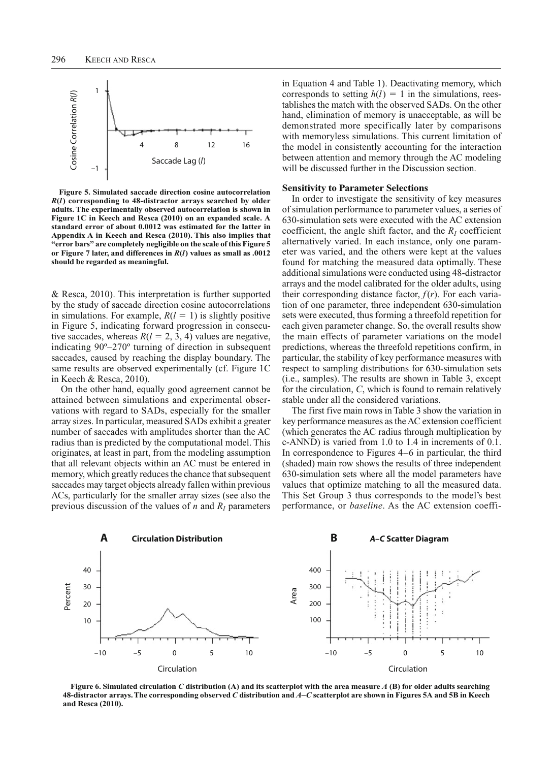

**Figure 5. Simulated saccade direction cosine autocorrelation**  *R***(***l***) corresponding to 48-distractor arrays searched by older adults. The experimentally observed autocorrelation is shown in Figure 1C in Keech and Resca (2010) on an expanded scale. A standard error of about 0.0012 was estimated for the latter in Appendix A in Keech and Resca (2010). This also implies that "error bars" are completely negligible on the scale of this Figure 5 or Figure 7 later, and differences in** *R***(***l***) values as small as .0012 should be regarded as meaningful.**

& Resca, 2010). This interpretation is further supported by the study of saccade direction cosine autocorrelations in simulations. For example,  $R(l = 1)$  is slightly positive in Figure 5, indicating forward progression in consecutive saccades, whereas  $R(l = 2, 3, 4)$  values are negative, indicating 90º–270º turning of direction in subsequent saccades, caused by reaching the display boundary. The same results are observed experimentally (cf. Figure 1C in Keech & Resca, 2010).

On the other hand, equally good agreement cannot be attained between simulations and experimental observations with regard to SADs, especially for the smaller array sizes. In particular, measured SADs exhibit a greater number of saccades with amplitudes shorter than the AC radius than is predicted by the computational model. This originates, at least in part, from the modeling assumption that all relevant objects within an AC must be entered in memory, which greatly reduces the chance that subsequent saccades may target objects already fallen within previous ACs, particularly for the smaller array sizes (see also the Example 1.1 The values of the system of the system of the values of *n* and *RI* parameters of *n* and *RI* parameters of *RI* parameters of *RI* parameters of *RI* parameters of *RI* parameters of *RI* parameters CF *RI* 

in Equation 4 and Table 1). Deactivating memory, which corresponds to setting  $h(l) = 1$  in the simulations, reestablishes the match with the observed SADs. On the other hand, elimination of memory is unacceptable, as will be demonstrated more specifically later by comparisons with memoryless simulations. This current limitation of the model in consistently accounting for the interaction between attention and memory through the AC modeling will be discussed further in the Discussion section.

#### **Sensitivity to Parameter Selections**

In order to investigate the sensitivity of key measures of simulation performance to parameter values, a series of 630-simulation sets were executed with the AC extension coefficient, the angle shift factor, and the  $R_I$  coefficient alternatively varied. In each instance, only one parameter was varied, and the others were kept at the values found for matching the measured data optimally. These additional simulations were conducted using 48-distractor arrays and the model calibrated for the older adults, using their corresponding distance factor,  $f(r)$ . For each variation of one parameter, three independent 630-simulation sets were executed, thus forming a threefold repetition for each given parameter change. So, the overall results show the main effects of parameter variations on the model predictions, whereas the threefold repetitions confirm, in particular, the stability of key performance measures with respect to sampling distributions for 630-simulation sets (i.e., samples). The results are shown in Table 3, except for the circulation, *C*, which is found to remain relatively stable under all the considered variations.

The first five main rows in Table 3 show the variation in key performance measures as the AC extension coefficient (which generates the AC radius through multiplication by c-ANND) is varied from 1.0 to 1.4 in increments of 0.1. In correspondence to Figures 4–6 in particular, the third (shaded) main row shows the results of three independent 630-simulation sets where all the model parameters have values that optimize matching to all the measured data. This Set Group 3 thus corresponds to the model's best performance, or *baseline*. As the AC extension coeffi-



**Figure 6. Simulated circulation** *C* **distribution (A) and its scatterplot with the area measure** *A* **(B) for older adults searching 48-distractor arrays. The corresponding observed** *C* **distribution and** *A–C* **scatterplot are shown in Figures 5A and 5B in Keech and Resca (2010).**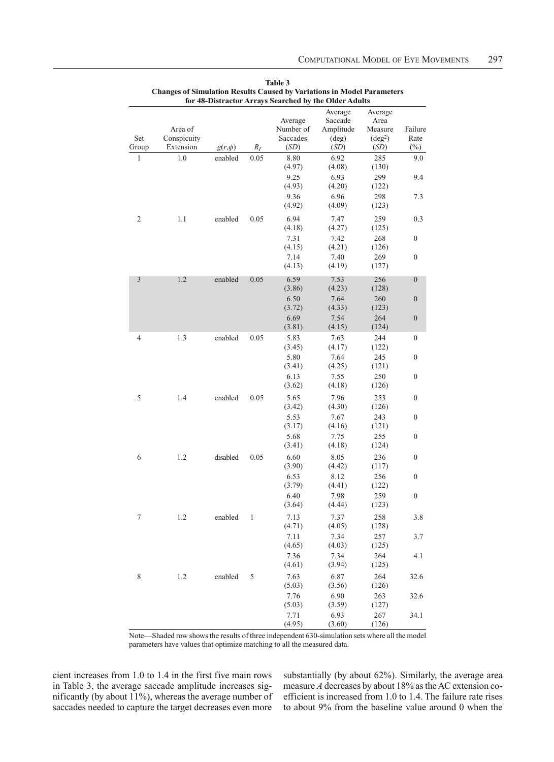| Set<br>Group | Area of<br>Conspicuity<br>Extension | $g(r,\phi)$ | $R_I$        | Average<br>Number of<br>Saccades<br>(SD) | Average<br>Saccade<br>Amplitude<br>$(\text{deg})$<br>(SD) | Average<br>Area<br>Measure<br>$(\text{deg}^2)$<br>(SD) | Failure<br>Rate<br>$(\%)$            |
|--------------|-------------------------------------|-------------|--------------|------------------------------------------|-----------------------------------------------------------|--------------------------------------------------------|--------------------------------------|
| 1            | $1.0\,$                             | enabled     | 0.05         | 8.80<br>(4.97)<br>9.25                   | 6.92<br>(4.08)<br>6.93                                    | 285<br>(130)<br>299                                    | 9.0<br>9.4                           |
|              |                                     |             |              | (4.93)<br>9.36                           | (4.20)<br>6.96                                            | (122)<br>298                                           | 7.3                                  |
| $\mathbf{2}$ | 1.1                                 | enabled     | 0.05         | (4.92)<br>6.94<br>(4.18)                 | (4.09)<br>7.47<br>(4.27)                                  | (123)<br>259<br>(125)                                  | 0.3                                  |
|              |                                     |             |              | 7.31<br>(4.15)                           | 7.42<br>(4.21)                                            | 268<br>(126)                                           | $\boldsymbol{0}$                     |
|              |                                     |             |              | 7.14<br>(4.13)                           | 7.40<br>(4.19)                                            | 269<br>(127)                                           | $\boldsymbol{0}$                     |
| 3            | 1.2                                 | enabled     | 0.05         | 6.59<br>(3.86)<br>6.50                   | 7.53<br>(4.23)<br>7.64                                    | 256<br>(128)<br>260                                    | $\boldsymbol{0}$<br>$\boldsymbol{0}$ |
|              |                                     |             |              | (3.72)<br>6.69<br>(3.81)                 | (4.33)<br>7.54<br>(4.15)                                  | (123)<br>264<br>(124)                                  | $\boldsymbol{0}$                     |
| 4            | 1.3                                 | enabled     | 0.05         | 5.83<br>(3.45)                           | 7.63<br>(4.17)                                            | 244<br>(122)                                           | $\boldsymbol{0}$                     |
|              |                                     |             |              | 5.80<br>(3.41)<br>6.13                   | 7.64<br>(4.25)<br>7.55                                    | 245<br>(121)<br>250                                    | $\boldsymbol{0}$<br>$\boldsymbol{0}$ |
| 5<br>1.4     |                                     | enabled     | 0.05         | (3.62)<br>5.65<br>(3.42)                 | (4.18)<br>7.96<br>(4.30)                                  | (126)<br>253<br>(126)                                  | $\boldsymbol{0}$                     |
|              |                                     |             |              | 5.53<br>(3.17)                           | 7.67<br>(4.16)                                            | 243<br>(121)                                           | $\boldsymbol{0}$                     |
|              |                                     |             |              | 5.68<br>(3.41)                           | 7.75<br>(4.18)                                            | 255<br>(124)                                           | $\boldsymbol{0}$                     |
| 6            | 1.2                                 | disabled    | 0.05         | 6.60<br>(3.90)<br>6.53                   | 8.05<br>(4.42)<br>8.12                                    | 236<br>(117)<br>256                                    | $\boldsymbol{0}$<br>$\boldsymbol{0}$ |
|              |                                     |             |              | (3.79)<br>6.40<br>(3.64)                 | (4.41)<br>7.98<br>(4.44)                                  | (122)<br>259<br>(123)                                  | $\boldsymbol{0}$                     |
| 7<br>8       | 1.2                                 | enabled     | $\mathbf{1}$ | 7.13<br>(4.71)                           | 7.37<br>(4.05)                                            | 258<br>(128)                                           | 3.8                                  |
|              |                                     |             |              | 7.11<br>(4.65)                           | 7.34<br>(4.03)                                            | 257<br>(125)                                           | 3.7                                  |
|              |                                     |             |              | 7.36<br>(4.61)                           | 7.34<br>(3.94)                                            | 264<br>(125)                                           | 4.1                                  |
|              | 1.2                                 | enabled     | 5            | 7.63<br>(5.03)<br>7.76                   | 6.87<br>(3.56)<br>6.90                                    | 264<br>(126)<br>263                                    | 32.6<br>32.6                         |
|              |                                     |             |              | (5.03)<br>7.71<br>(4.95)                 | (3.59)<br>6.93<br>(3.60)                                  | (127)<br>267<br>(126)                                  | 34.1                                 |

**Table 3 Changes of Simulation Results Caused by Variations in Model Parameters for 48-Distractor Arrays Searched by the Older Adults**

Note—Shaded row shows the results of three independent 630-simulation sets where all the model

parameters have values that optimize matching to all the measured data.

cient increases from 1.0 to 1.4 in the first five main rows in Table 3, the average saccade amplitude increases significantly (by about 11%), whereas the average number of saccades needed to capture the target decreases even more

substantially (by about 62%). Similarly, the average area measure *A* decreases by about 18% as the AC extension coefficient is increased from 1.0 to 1.4. The failure rate rises to about 9% from the baseline value around 0 when the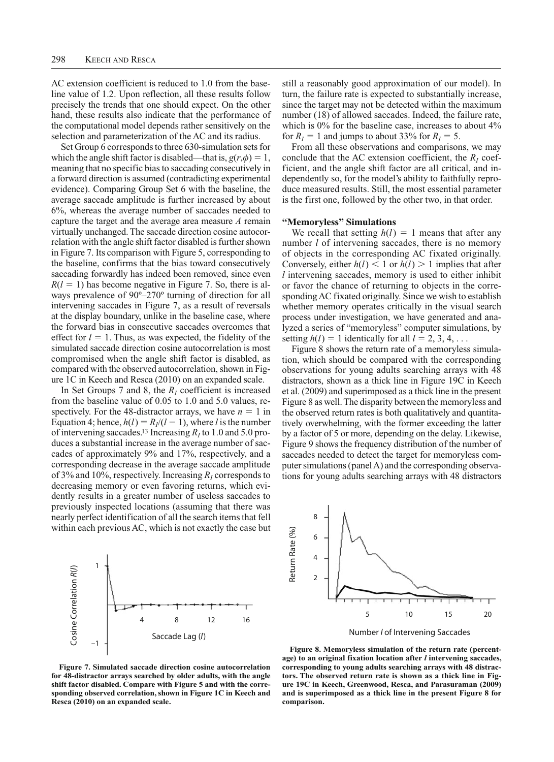AC extension coefficient is reduced to 1.0 from the baseline value of 1.2. Upon reflection, all these results follow precisely the trends that one should expect. On the other hand, these results also indicate that the performance of the computational model depends rather sensitively on the selection and parameterization of the AC and its radius.

Set Group 6 corresponds to three 630-simulation sets for which the angle shift factor is disabled—that is,  $g(r,\phi) = 1$ , meaning that no specific bias to saccading consecutively in a forward direction is assumed (contradicting experimental evidence). Comparing Group Set 6 with the baseline, the average saccade amplitude is further increased by about 6%, whereas the average number of saccades needed to capture the target and the average area measure *A* remain virtually unchanged. The saccade direction cosine autocorrelation with the angle shift factor disabled is further shown in Figure 7. Its comparison with Figure 5, corresponding to the baseline, confirms that the bias toward consecutively saccading forwardly has indeed been removed, since even  $R(l = 1)$  has become negative in Figure 7. So, there is always prevalence of 90º–270º turning of direction for all intervening saccades in Figure 7, as a result of reversals at the display boundary, unlike in the baseline case, where the forward bias in consecutive saccades overcomes that effect for  $l = 1$ . Thus, as was expected, the fidelity of the simulated saccade direction cosine autocorrelation is most compromised when the angle shift factor is disabled, as compared with the observed autocorrelation, shown in Figure 1C in Keech and Resca (2010) on an expanded scale.

In Set Groups 7 and 8, the  $R<sub>I</sub>$  coefficient is increased from the baseline value of 0.05 to 1.0 and 5.0 values, respectively. For the 48-distractor arrays, we have  $n = 1$  in Equation 4; hence,  $h(l) = R_l/(l - 1)$ , where *l* is the number of intervening saccades.13 Increasing *RI* to 1.0 and 5.0 produces a substantial increase in the average number of saccades of approximately 9% and 17%, respectively, and a corresponding decrease in the average saccade amplitude of 3% and 10%, respectively. Increasing  $R<sub>I</sub>$  corresponds to decreasing memory or even favoring returns, which evidently results in a greater number of useless saccades to previously inspected locations (assuming that there was nearly perfect identification of all the search items that fell within each previous AC, which is not exactly the case but

still a reasonably good approximation of our model). In turn, the failure rate is expected to substantially increase, since the target may not be detected within the maximum number (18) of allowed saccades. Indeed, the failure rate, which is 0% for the baseline case, increases to about 4% for  $R_I = 1$  and jumps to about 33% for  $R_I = 5$ .

From all these observations and comparisons, we may conclude that the AC extension coefficient, the  $R_I$  coefficient, and the angle shift factor are all critical, and independently so, for the model's ability to faithfully reproduce measured results. Still, the most essential parameter is the first one, followed by the other two, in that order.

#### **"Memoryless" Simulations**

We recall that setting  $h(l) = 1$  means that after any number *l* of intervening saccades, there is no memory of objects in the corresponding AC fixated originally. Conversely, either  $h(l) < 1$  or  $h(l) > 1$  implies that after *l* intervening saccades, memory is used to either inhibit or favor the chance of returning to objects in the corresponding AC fixated originally. Since we wish to establish whether memory operates critically in the visual search process under investigation, we have generated and analyzed a series of "memoryless" computer simulations, by setting  $h(l) = 1$  identically for all  $l = 2, 3, 4, \ldots$ 

Figure 8 shows the return rate of a memoryless simulation, which should be compared with the corresponding observations for young adults searching arrays with 48 distractors, shown as a thick line in Figure 19C in Keech et al. (2009) and superimposed as a thick line in the present Figure 8 as well. The disparity between the memoryless and the observed return rates is both qualitatively and quantitatively overwhelming, with the former exceeding the latter by a factor of 5 or more, depending on the delay. Likewise, Figure 9 shows the frequency distribution of the number of saccades needed to detect the target for memoryless computer simulations (panel A) and the corresponding observations for young adults searching arrays with 48 distractors





Number *l* of Intervening Saccades

**Figure 7. Simulated saccade direction cosine autocorrelation for 48-distractor arrays searched by older adults, with the angle shift factor disabled. Compare with Figure 5 and with the corresponding observed correlation, shown in Figure 1C in Keech and Resca (2010) on an expanded scale.**

**Figure 8. Memoryless simulation of the return rate (percentage) to an original fixation location after** *l* **intervening saccades, corresponding to young adults searching arrays with 48 distractors. The observed return rate is shown as a thick line in Figure 19C in Keech, Greenwood, Resca, and Parasuraman (2009) and is superimposed as a thick line in the present Figure 8 for comparison.**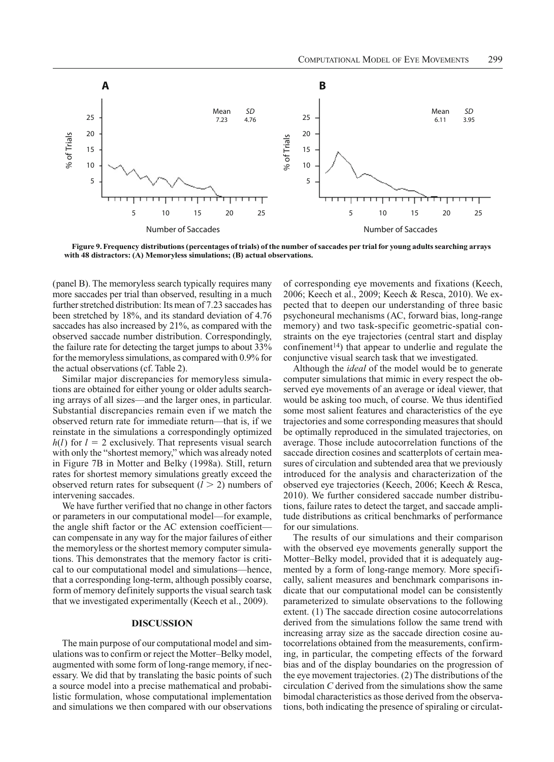

**Figure 9. Frequency distributions (percentages of trials) of the number of saccades per trial for young adults searching arrays with 48 distractors: (A) Memoryless simulations; (B) actual observations.**

(panel B). The memoryless search typically requires many more saccades per trial than observed, resulting in a much further stretched distribution: Its mean of 7.23 saccades has been stretched by 18%, and its standard deviation of 4.76 saccades has also increased by 21%, as compared with the observed saccade number distribution. Correspondingly, the failure rate for detecting the target jumps to about 33% for the memoryless simulations, as compared with 0.9% for the actual observations (cf. Table 2).

Similar major discrepancies for memoryless simulations are obtained for either young or older adults searching arrays of all sizes—and the larger ones, in particular. Substantial discrepancies remain even if we match the observed return rate for immediate return—that is, if we reinstate in the simulations a correspondingly optimized  $h(l)$  for  $l = 2$  exclusively. That represents visual search with only the "shortest memory," which was already noted in Figure 7B in Motter and Belky (1998a). Still, return rates for shortest memory simulations greatly exceed the observed return rates for subsequent  $(l > 2)$  numbers of intervening saccades. **EVALUAT THE SIMULAT SIMULAT THE SIMULAT SIMULAT SIMULAT SIMULAT SIMULAT SIMULAT SIMULAT SIMULAT SIMULAT SIMULAT SIMULAT SIMULAT SIMULAT SIMULAT SIMULAT SIMULAT SIMULAT SIMULAT SIMULAT SIMULAT SIMULAT SIMULAT SIMULAT SIMU** 

We have further verified that no change in other factors or parameters in our computational model—for example, the angle shift factor or the AC extension coefficient can compensate in any way for the major failures of either the memoryless or the shortest memory computer simulations. This demonstrates that the memory factor is critical to our computational model and simulations—hence, that a corresponding long-term, although possibly coarse, form of memory definitely supports the visual search task that we investigated experimentally (Keech et al., 2009).

## **DISCUSSION**

The main purpose of our computational model and simulations was to confirm or reject the Motter–Belky model, augmented with some form of long-range memory, if necessary. We did that by translating the basic points of such a source model into a precise mathematical and probabilistic formulation, whose computational implementation of corresponding eye movements and fixations (Keech, 2006; Keech et al., 2009; Keech & Resca, 2010). We expected that to deepen our understanding of three basic psychoneural mechanisms (AC, forward bias, long-range memory) and two task-specific geometric-spatial constraints on the eye trajectories (central start and display confinement<sup>14</sup>) that appear to underlie and regulate the conjunctive visual search task that we investigated.

Although the *ideal* of the model would be to generate computer simulations that mimic in every respect the observed eye movements of an average or ideal viewer, that would be asking too much, of course. We thus identified some most salient features and characteristics of the eye trajectories and some corresponding measures that should be optimally reproduced in the simulated trajectories, on average. Those include autocorrelation functions of the saccade direction cosines and scatterplots of certain measures of circulation and subtended area that we previously introduced for the analysis and characterization of the observed eye trajectories (Keech, 2006; Keech & Resca, 2010). We further considered saccade number distributions, failure rates to detect the target, and saccade amplitude distributions as critical benchmarks of performance for our simulations.

The results of our simulations and their comparison with the observed eye movements generally support the Motter–Belky model, provided that it is adequately augmented by a form of long-range memory. More specifically, salient measures and benchmark comparisons indicate that our computational model can be consistently parameterized to simulate observations to the following extent. (1) The saccade direction cosine autocorrelations derived from the simulations follow the same trend with increasing array size as the saccade direction cosine autocorrelations obtained from the measurements, confirming, in particular, the competing effects of the forward bias and of the display boundaries on the progression of the eye movement trajectories. (2) The distributions of the circulation *C* derived from the simulations show the same bimodal characteristics as those derived from the observations, both indicating the presence of spiraling or circulat-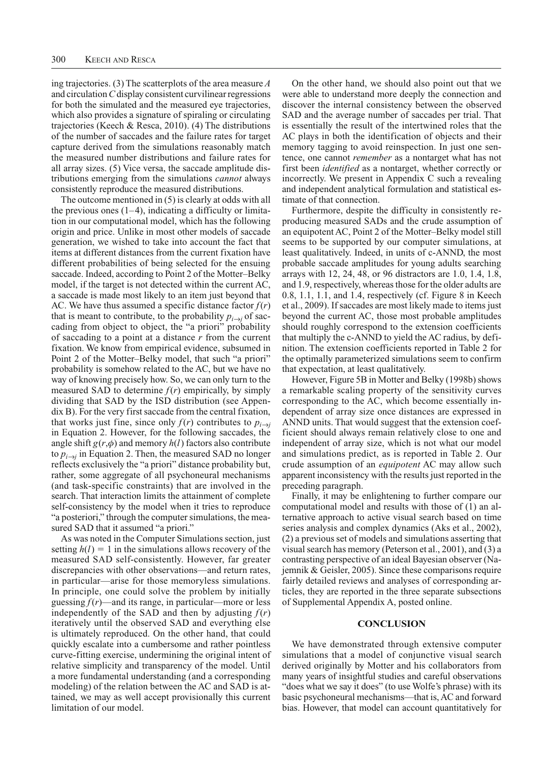ing trajectories. (3) The scatterplots of the area measure *A*  and circulation *C* display consistent curvilinear regressions for both the simulated and the measured eye trajectories, which also provides a signature of spiraling or circulating trajectories (Keech & Resca, 2010). (4) The distributions of the number of saccades and the failure rates for target capture derived from the simulations reasonably match the measured number distributions and failure rates for all array sizes. (5) Vice versa, the saccade amplitude distributions emerging from the simulations *cannot* always consistently reproduce the measured distributions.

The outcome mentioned in (5) is clearly at odds with all the previous ones  $(1-4)$ , indicating a difficulty or limitation in our computational model, which has the following origin and price. Unlike in most other models of saccade generation, we wished to take into account the fact that items at different distances from the current fixation have different probabilities of being selected for the ensuing saccade. Indeed, according to Point 2 of the Motter–Belky model, if the target is not detected within the current AC, a saccade is made most likely to an item just beyond that AC. We have thus assumed a specific distance factor  $f(r)$ that is meant to contribute, to the probability  $p_{i\rightarrow i}$  of saccading from object to object, the "a priori" probability of saccading to a point at a distance *r* from the current fixation. We know from empirical evidence, subsumed in Point 2 of the Motter–Belky model, that such "a priori" probability is somehow related to the AC, but we have no way of knowing precisely how. So, we can only turn to the measured SAD to determine  $f(r)$  empirically, by simply dividing that SAD by the ISD distribution (see Appendix B). For the very first saccade from the central fixation, that works just fine, since only  $f(r)$  contributes to  $p_{i\rightarrow j}$ in Equation 2. However, for the following saccades, the angle shift  $g(r,\phi)$  and memory  $h(l)$  factors also contribute to  $p_{i\rightarrow i}$  in Equation 2. Then, the measured SAD no longer reflects exclusively the "a priori" distance probability but, rather, some aggregate of all psychoneural mechanisms (and task-specific constraints) that are involved in the search. That interaction limits the attainment of complete self-consistency by the model when it tries to reproduce "a posteriori," through the computer simulations, the measured SAD that it assumed "a priori."

As was noted in the Computer Simulations section, just setting  $h(l) = 1$  in the simulations allows recovery of the measured SAD self-consistently. However, far greater discrepancies with other observations—and return rates, in particular—arise for those memoryless simulations. In principle, one could solve the problem by initially guessing  $f(r)$ —and its range, in particular—more or less independently of the SAD and then by adjusting  $f(r)$ iteratively until the observed SAD and everything else is ultimately reproduced. On the other hand, that could quickly escalate into a cumbersome and rather pointless curve-fitting exercise, undermining the original intent of relative simplicity and transparency of the model. Until a more fundamental understanding (and a corresponding modeling) of the relation between the AC and SAD is attained, we may as well accept provisionally this current limitation of our model.

On the other hand, we should also point out that we were able to understand more deeply the connection and discover the internal consistency between the observed SAD and the average number of saccades per trial. That is essentially the result of the intertwined roles that the AC plays in both the identification of objects and their memory tagging to avoid reinspection. In just one sentence, one cannot *remember* as a nontarget what has not first been *identified* as a nontarget, whether correctly or incorrectly. We present in Appendix C such a revealing and independent analytical formulation and statistical estimate of that connection.

Furthermore, despite the difficulty in consistently reproducing measured SADs and the crude assumption of an equipotent AC, Point 2 of the Motter–Belky model still seems to be supported by our computer simulations, at least qualitatively. Indeed, in units of c-ANND, the most probable saccade amplitudes for young adults searching arrays with 12, 24, 48, or 96 distractors are 1.0, 1.4, 1.8, and 1.9, respectively, whereas those for the older adults are 0.8, 1.1, 1.1, and 1.4, respectively (cf. Figure 8 in Keech et al., 2009). If saccades are most likely made to items just beyond the current AC, those most probable amplitudes should roughly correspond to the extension coefficients that multiply the c-ANND to yield the AC radius, by definition. The extension coefficients reported in Table 2 for the optimally parameterized simulations seem to confirm that expectation, at least qualitatively.

However, Figure 5B in Motter and Belky (1998b) shows a remarkable scaling property of the sensitivity curves corresponding to the AC, which become essentially independent of array size once distances are expressed in ANND units. That would suggest that the extension coefficient should always remain relatively close to one and independent of array size, which is not what our model and simulations predict, as is reported in Table 2. Our crude assumption of an *equipotent* AC may allow such apparent inconsistency with the results just reported in the preceding paragraph.

Finally, it may be enlightening to further compare our computational model and results with those of (1) an alternative approach to active visual search based on time series analysis and complex dynamics (Aks et al., 2002), (2) a previous set of models and simulations asserting that visual search has memory (Peterson et al., 2001), and (3) a contrasting perspective of an ideal Bayesian observer (Najemnik & Geisler, 2005). Since these comparisons require fairly detailed reviews and analyses of corresponding articles, they are reported in the three separate subsections of Supplemental Appendix A, posted online.

#### **CONCLUSION**

We have demonstrated through extensive computer simulations that a model of conjunctive visual search derived originally by Motter and his collaborators from many years of insightful studies and careful observations "does what we say it does" (to use Wolfe's phrase) with its basic psychoneural mechanisms—that is, AC and forward bias. However, that model can account quantitatively for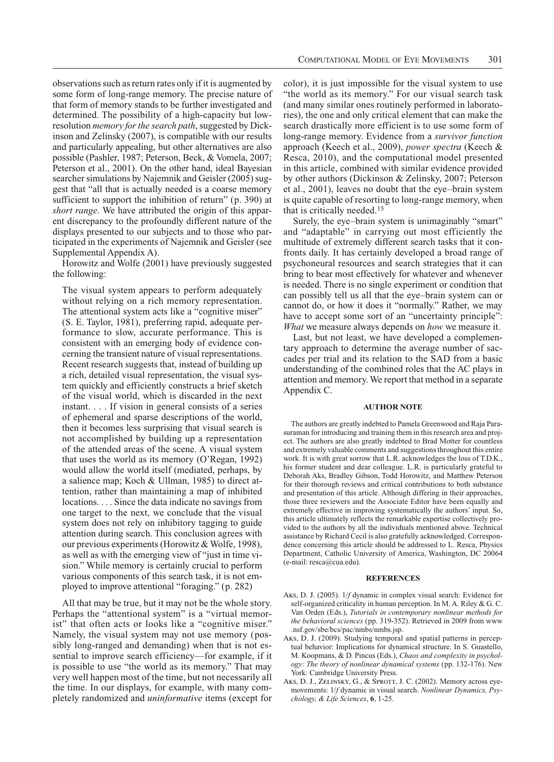observations such as return rates only if it is augmented by some form of long-range memory. The precise nature of that form of memory stands to be further investigated and determined. The possibility of a high-capacity but lowresolution *memory for the search path*, suggested by Dickinson and Zelinsky (2007), is compatible with our results and particularly appealing, but other alternatives are also possible (Pashler, 1987; Peterson, Beck, & Vomela, 2007; Peterson et al., 2001). On the other hand, ideal Bayesian searcher simulations by Najemnik and Geisler (2005) suggest that "all that is actually needed is a coarse memory sufficient to support the inhibition of return" (p. 390) at *short range*. We have attributed the origin of this apparent discrepancy to the profoundly different nature of the displays presented to our subjects and to those who participated in the experiments of Najemnik and Geisler (see Supplemental Appendix A).

Horowitz and Wolfe (2001) have previously suggested the following:

The visual system appears to perform adequately without relying on a rich memory representation. The attentional system acts like a "cognitive miser" (S. E. Taylor, 1981), preferring rapid, adequate performance to slow, accurate performance. This is consistent with an emerging body of evidence concerning the transient nature of visual representations. Recent research suggests that, instead of building up a rich, detailed visual representation, the visual system quickly and efficiently constructs a brief sketch of the visual world, which is discarded in the next instant. . . . If vision in general consists of a series of ephemeral and sparse descriptions of the world, then it becomes less surprising that visual search is not accomplished by building up a representation of the attended areas of the scene. A visual system that uses the world as its memory (O'Regan, 1992) would allow the world itself (mediated, perhaps, by a salience map; Koch & Ullman, 1985) to direct attention, rather than maintaining a map of inhibited locations. . . . Since the data indicate no savings from one target to the next, we conclude that the visual system does not rely on inhibitory tagging to guide attention during search. This conclusion agrees with our previous experiments (Horowitz & Wolfe, 1998), as well as with the emerging view of "just in time vision." While memory is certainly crucial to perform various components of this search task, it is not employed to improve attentional "foraging." (p. 282)

All that may be true, but it may not be the whole story. Perhaps the "attentional system" is a "virtual memorist" that often acts or looks like a "cognitive miser." Namely, the visual system may not use memory (possibly long-ranged and demanding) when that is not essential to improve search efficiency—for example, if it is possible to use "the world as its memory." That may very well happen most of the time, but not necessarily all the time. In our displays, for example, with many completely randomized and *uninformative* items (except for

color), it is just impossible for the visual system to use "the world as its memory." For our visual search task (and many similar ones routinely performed in laboratories), the one and only critical element that can make the search drastically more efficient is to use some form of long-range memory. Evidence from a *survivor function* approach (Keech et al., 2009), *power spectra* (Keech & Resca, 2010), and the computational model presented in this article, combined with similar evidence provided by other authors (Dickinson & Zelinsky, 2007; Peterson et al., 2001), leaves no doubt that the eye–brain system is quite capable of resorting to long-range memory, when that is critically needed.15

Surely, the eye–brain system is unimaginably "smart" and "adaptable" in carrying out most efficiently the multitude of extremely different search tasks that it confronts daily. It has certainly developed a broad range of psychoneural resources and search strategies that it can bring to bear most effectively for whatever and whenever is needed. There is no single experiment or condition that can possibly tell us all that the eye–brain system can or cannot do, or how it does it "normally." Rather, we may have to accept some sort of an "uncertainty principle": *What* we measure always depends on *how* we measure it.

Last, but not least, we have developed a complementary approach to determine the average number of saccades per trial and its relation to the SAD from a basic understanding of the combined roles that the AC plays in attention and memory. We report that method in a separate Appendix C.

## **AUTHOR NOTE**

The authors are greatly indebted to Pamela Greenwood and Raja Parasuraman for introducing and training them in this research area and project. The authors are also greatly indebted to Brad Motter for countless and extremely valuable comments and suggestions throughout this entire work. It is with great sorrow that L.R. acknowledges the loss of T.D.K., his former student and dear colleague. L.R. is particularly grateful to Deborah Aks, Bradley Gibson, Todd Horowitz, and Matthew Peterson for their thorough reviews and critical contributions to both substance and presentation of this article. Although differing in their approaches, those three reviewers and the Associate Editor have been equally and extremely effective in improving systematically the authors' input. So, this article ultimately reflects the remarkable expertise collectively provided to the authors by all the individuals mentioned above. Technical assistance by Richard Cecil is also gratefully acknowledged. Correspondence concerning this article should be addressed to L. Resca, Physics Department, Catholic University of America, Washington, DC 20064 (e-mail: resca@cua.edu).

#### **REFERENCES**

- Aks, D. J. (2005). 1/*f* dynamic in complex visual search: Evidence for self-organized criticality in human perception. In M. A. Riley & G. C. Van Orden (Eds.), *Tutorials in contemporary nonlinear methods for the behavioral sciences* (pp. 319-352). Retrieved in 2009 from www .nsf.gov/sbe/bcs/pac/nmbs/nmbs.jsp.
- Aks, D. J. (2009). Studying temporal and spatial patterns in perceptual behavior: Implications for dynamical structure. In S. Guastello, M. Koopmans, & D. Pincus (Eds.), *Chaos and complexity in psychology: The theory of nonlinear dynamical systems* (pp. 132-176). New York: Cambridge University Press.
- Aks, D. J., ZELINSKY, G., & SPROTT, J. C. (2002). Memory across eyemovements: 1/*f* dynamic in visual search. *Nonlinear Dynamics, Psychology, & Life Sciences*, **6**, 1-25.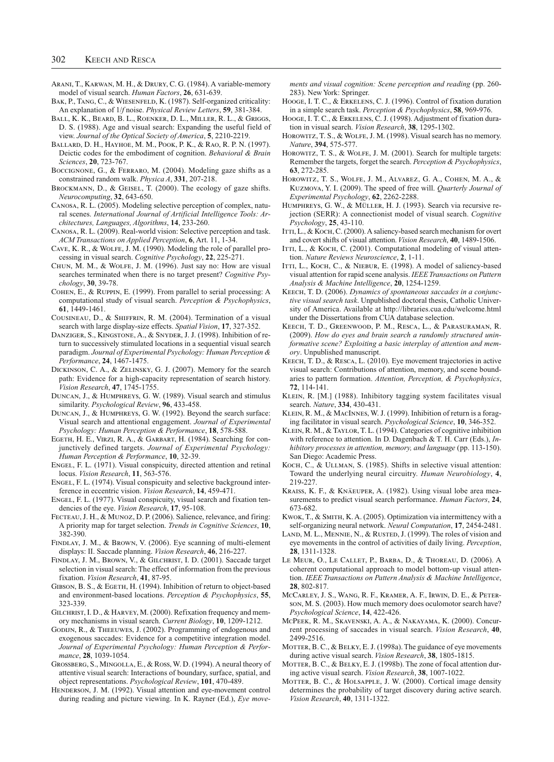- Arani, T., Karwan, M. H., & Drury, C. G. (1984). A variable-memory model of visual search. *Human Factors*, **26**, 631-639.
- Bak, P., Tang, C., & Wiesenfeld, K. (1987). Self-organized criticality: An explanation of 1/*f* noise. *Physical Review Letters*, **59**, 381-384.
- Ball, K. K., Beard, B. L., Roenker, D. L., Miller, R. L., & Griggs, D. S. (1988). Age and visual search: Expanding the useful field of view. *Journal of the Optical Society of America*, **5**, 2210-2219.
- Ballard, D. H., Hayhoe, M. M., Pook, P. K., & Rao, R. P. N. (1997). Deictic codes for the embodiment of cognition. *Behavioral & Brain Sciences*, **20**, 723-767.
- Boccignone, G., & Ferraro, M. (2004). Modeling gaze shifts as a constrained random walk. *Physica A*, **331**, 207-218.
- Brockmann, D., & Geisel, T. (2000). The ecology of gaze shifts. *Neuro computing*, **32**, 643-650.
- Canosa, R. L. (2005). Modeling selective perception of complex, natural scenes. *International Journal of Artificial Intelligence Tools: Architectures, Languages, Algorithms*, **14**, 233-260.
- Canosa, R. L. (2009). Real-world vision: Selective perception and task. *ACM Transactions on Applied Perception*, **6**, Art. 11, 1-34.
- Cave, K. R., & Wolfe, J. M. (1990). Modeling the role of parallel processing in visual search. *Cognitive Psychology*, **22**, 225-271.
- Chun, M. M., & Wolfe, J. M. (1996). Just say no: How are visual searches terminated when there is no target present? *Cognitive Psychology*, **30**, 39-78.
- Cohen, E., & Ruppin, E. (1999). From parallel to serial processing: A computational study of visual search. *Perception & Psychophysics*, **61**, 1449-1461.
- Cousineau, D., & Shiffrin, R. M. (2004). Termination of a visual search with large display-size effects. *Spatial Vision*, **17**, 327-352.
- Danziger, S., Kingstone, A., & Snyder, J. J. (1998). Inhibition of return to successively stimulated locations in a sequential visual search paradigm. *Journal of Experimental Psychology: Human Perception & Performance*, **24**, 1467-1475.
- Dickinson, C. A., & Zelinsky, G. J. (2007). Memory for the search path: Evidence for a high-capacity representation of search history. *Vision Research*, **47**, 1745-1755.
- Duncan, J., & Humphreys, G. W. (1989). Visual search and stimulus similarity. *Psychological Review*, **96**, 433-458.
- Duncan, J., & Humphreys, G. W. (1992). Beyond the search surface: Visual search and attentional engagement. *Journal of Experimental Psychology: Human Perception & Performance*, **18**, 578-588.
- EGETH, H. E., VIRZI, R. A., & GARBART, H. (1984). Searching for conjunctively defined targets. *Journal of Experimental Psychology: Human Perception & Performance*, **10**, 32-39.
- Engel, F. L. (1971). Visual conspicuity, directed attention and retinal locus. *Vision Research*, **11**, 563-576.
- Engel, F. L. (1974). Visual conspicuity and selective background interference in eccentric vision. *Vision Research*, **14**, 459-471.
- Engel, F. L. (1977). Visual conspicuity, visual search and fixation tendencies of the eye. *Vision Research*, **17**, 95-108.
- Fecteau, J. H., & Munoz, D. P. (2006). Salience, relevance, and firing: A priority map for target selection. *Trends in Cognitive Sciences*, **10**, 382-390.
- Findlay, J. M., & Brown, V. (2006). Eye scanning of multi-element displays: II. Saccade planning. *Vision Research*, **46**, 216-227.
- Findlay, J. M., Brown, V., & Gilchrist, I. D. (2001). Saccade target selection in visual search: The effect of information from the previous fixation. *Vision Research*, **41**, 87-95.
- GIBSON, B. S., & EGETH, H. (1994). Inhibition of return to object-based and environment-based locations. *Perception & Psychophysics*, **55**, 323-339.
- GILCHRIST, I. D., & HARVEY, M. (2000). Refixation frequency and memory mechanisms in visual search. *Current Biology*, **10**, 1209-1212.
- GODIJN, R., & THEEUWES, J. (2002). Programming of endogenous and exogenous saccades: Evidence for a competitive integration model. *Journal of Experimental Psychology: Human Perception & Performance*, **28**, 1039-1054.
- Grossberg, S., Mingolla, E., & Ross, W. D. (1994). A neural theory of attentive visual search: Interactions of boundary, surface, spatial, and object representations. *Psychological Review*, **101**, 470-489.
- HENDERSON, J. M. (1992). Visual attention and eye-movement control during reading and picture viewing. In K. Rayner (Ed.), *Eye move-*

*ments and visual cognition: Scene perception and reading* (pp. 260- 283). New York: Springer.

- Hooge, I. T. C., & Erkelens, C. J. (1996). Control of fixation duration in a simple search task. *Perception & Psychophysics*, **58**, 969-976.
- HOOGE, I. T. C., & ERKELENS, C. J. (1998). Adjustment of fixation duration in visual search. *Vision Research*, **38**, 1295-1302.
- HOROWITZ, T. S., & WOLFE, J. M. (1998). Visual search has no memory. *Nature*, **394**, 575-577.
- HOROWITZ, T. S., & WOLFE, J. M. (2001). Search for multiple targets: Remember the targets, forget the search. *Perception & Psychophysics*, **63**, 272-285.
- Horowitz, T. S., Wolfe, J. M., Alvarez, G. A., Cohen, M. A., & Kuzmova, Y. I. (2009). The speed of free will. *Quarterly Journal of Experimental Psychology*, **62**, 2262-2288.
- Humphreys, G. W., & Müller, H. J. (1993). Search via recursive rejection (SERR): A connectionist model of visual search. *Cognitive Psychology*, **25**, 43-110.
- ITTI, L., & KOCH, C. (2000). A saliency-based search mechanism for overt and covert shifts of visual attention. *Vision Research*, **40**, 1489-1506.
- ITTI, L., & KOCH, C. (2001). Computational modeling of visual attention. *Nature Reviews Neuroscience*, **2**, 1-11.
- Itti, L., Koch, C., & Niebur, E. (1998). A model of saliency-based visual attention for rapid scene analysis. *IEEE Transactions on Pattern Analysis & Machine Intelligence*, **20**, 1254-1259.
- Keech, T. D. (2006). *Dynamics of spontaneous saccades in a conjunctive visual search task*. Unpublished doctoral thesis, Catholic University of America. Available at http://libraries.cua.edu/welcome.html under the Dissertations from CUA database selection.
- Keech, T. D., Greenwood, P. M., Resca, L., & Parasuraman, R. (2009). *How do eyes and brain search a randomly structured uninformative scene? Exploiting a basic interplay of attention and memory*. Unpublished manuscript.
- Keech, T. D., & Resca, L. (2010). Eye movement trajectories in active visual search: Contributions of attention, memory, and scene boundaries to pattern formation. *Attention, Perception, & Psychophysics*, **72**, 114-141.
- Klein, R. [M.] (1988). Inhibitory tagging system facilitates visual search. *Nature*, **334**, 430-431.
- Klein, R. M., & MacInnes, W. J. (1999). Inhibition of return is a foraging facilitator in visual search. *Psychological Science*, **10**, 346-352.
- Klein, R. M., & Taylor, T. L. (1994). Categories of cognitive inhibition with reference to attention. In D. Dagenbach & T. H. Carr (Eds.), *Inhibitory processes in attention, memory, and language* (pp. 113-150). San Diego: Academic Press.
- Koch, C., & Ullman, S. (1985). Shifts in selective visual attention: Toward the underlying neural circuitry. *Human Neurobiology*, **4**, 219-227.
- Kraiss, K. F., & Knäeuper, A. (1982). Using visual lobe area measurements to predict visual search performance. *Human Factors*, **24**, 673-682.
- KWOK, T., & SMITH, K. A. (2005). Optimization via intermittency with a self-organizing neural network. *Neural Computation*, **17**, 2454-2481.
- LAND, M. L., MENNIE, N., & RUSTED, J. (1999). The roles of vision and eye movements in the control of activities of daily living. *Perception*, **28**, 1311-1328.
- Le Meur, O., Le Callet, P., Barba, D., & Thoreau, D. (2006). A coherent computational approach to model bottom-up visual attention. *IEEE Transactions on Pattern Analysis & Machine Intelligence*, **28**, 802-817.
- McCarley, J. S., Wang, R. F., Kramer, A. F., Irwin, D. E., & Peterson, M. S. (2003). How much memory does oculomotor search have? *Psychological Science*, **14**, 422-426.
- McPeek, R. M., Skavenski, A. A., & Nakayama, K. (2000). Concurrent processing of saccades in visual search. *Vision Research*, **40**, 2499-2516.
- MOTTER, B. C., & BELKY, E. J. (1998a). The guidance of eye movements during active visual search. *Vision Research*, **38**, 1805-1815.
- MOTTER, B. C., & BELKY, E. J. (1998b). The zone of focal attention during active visual search. *Vision Research*, **38**, 1007-1022.
- MOTTER, B. C., & HOLSAPPLE, J. W. (2000). Cortical image density determines the probability of target discovery during active search. *Vision Research*, **40**, 1311-1322.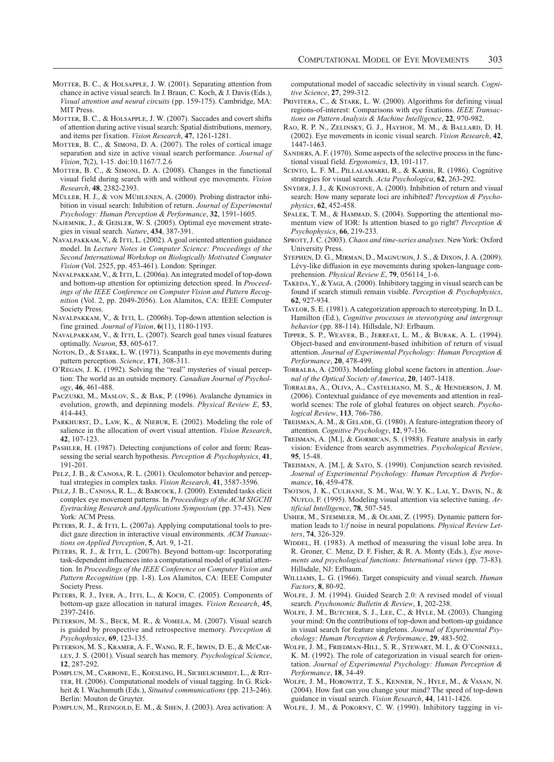- MOTTER, B. C., & HOLSAPPLE, J. W. (2001). Separating attention from chance in active visual search. In J. Braun, C. Koch, & J. Davis (Eds.), *Visual attention and neural circuits* (pp. 159-175). Cambridge, MA: MIT Press.
- MOTTER, B. C., & HOLSAPPLE, J. W. (2007). Saccades and covert shifts of attention during active visual search: Spatial distributions, memory, and items per fixation. *Vision Research*, **47**, 1261-1281.
- MOTTER, B. C., & SIMONI, D. A. (2007). The roles of cortical image separation and size in active visual search performance. *Journal of Vision*, **7**(2), 1-15. doi:10.1167/7.2.6
- MOTTER, B. C., & SIMONI, D. A. (2008). Changes in the functional visual field during search with and without eye movements. *Vision Research*, **48**, 2382-2393.
- Müller, H. J., & von Mühlenen, A. (2000). Probing distractor inhibition in visual search: Inhibition of return. *Journal of Experimental Psychology: Human Perception & Performance*, **32**, 1591-1605.
- Najemnik, J., & Geisler, W. S. (2005). Optimal eye movement strategies in visual search. *Nature*, **434**, 387-391.
- NAVALPAKKAM, V., & ITTI, L. (2002). A goal oriented attention guidance model. In *Lecture Notes in Computer Science: Proceedings of the Second International Workshop on Biologically Motivated Computer Vision* (Vol. 2525, pp. 453-461). London: Springer.
- NAVALPAKKAM, V., & ITTI, L. (2006a). An integrated model of top-down and bottom-up attention for optimizing detection speed. In *Proceedings of the IEEE Conference on Computer Vision and Pattern Recognition* (Vol. 2, pp. 2049-2056). Los Alamitos, CA: IEEE Computer Society Press.
- NAVALPAKKAM, V., & ITTI, L. (2006b). Top-down attention selection is fine grained. *Journal of Vision*, **6**(11), 1180-1193.
- NAVALPAKKAM, V., & ITTI, L. (2007). Search goal tunes visual features optimally. *Neuron*, **53**, 605-617.
- NOTON, D., & STARK, L. W. (1971). Scanpaths in eye movements during pattern perception. *Science*, **171**, 308-311.
- O'Regan, J. K. (1992). Solving the "real" mysteries of visual perception: The world as an outside memory. *Canadian Journal of Psychology*, **46**, 461-488.
- Paczuski, M., Maslov, S., & Bak, P. (1996). Avalanche dynamics in evolution, growth, and depinning models. *Physical Review E*, **53**, 414-443.
- PARKHURST, D., LAW, K., & NIEBUR, E. (2002). Modeling the role of salience in the allocation of overt visual attention. *Vision Research*, **42**, 107-123.
- PASHLER, H. (1987). Detecting conjunctions of color and form: Reassessing the serial search hypothesis. *Perception & Psychophysics*, **41**, 191-201.
- PELZ, J. B., & CANOSA, R. L. (2001). Oculomotor behavior and perceptual strategies in complex tasks. *Vision Research*, **41**, 3587-3596.
- Pelz, J. B., Canosa, R. L., & Babcock, J. (2000). Extended tasks elicit complex eye movement patterns. In *Proceedings of the ACM SIGCHI Eyetracking Research and Applications Symposium* (pp. 37-43). New York: ACM Press.
- PETERS, R. J., & ITTI, L. (2007a). Applying computational tools to predict gaze direction in interactive visual environments. *ACM Transactions on Applied Perception*, **5**, Art. 9, 1-21.
- PETERS, R. J., & ITTI, L. (2007b). Beyond bottom-up: Incorporating task-dependent influences into a computational model of spatial attention. In *Proceedings of the IEEE Conference on Computer Vision and Pattern Recognition* (pp. 1-8). Los Alamitos, CA: IEEE Computer Society Press.
- PETERS, R. J., IYER, A., ITTI, L., & KOCH, C. (2005). Components of bottom-up gaze allocation in natural images. *Vision Research*, **45**, 2397-2416.
- Peterson, M. S., Beck, M. R., & Vomela, M. (2007). Visual search is guided by prospective and retrospective memory. *Perception & Psychophysics*, **69**, 123-135.
- Peterson, M. S., Kramer, A. F., Wang, R. F., Irwin, D. E., & McCarley, J. S. (2001). Visual search has memory. *Psychological Science*, **12**, 287-292.
- Pomplun, M., Carbone, E., Koesling, H., Sichelschmidt, L., & Rit-TER, H. (2006). Computational models of visual tagging. In G. Rickheit & I. Wachsmuth (Eds.), *Situated communications* (pp. 213-246). Berlin: Mouton de Gruyter.
- POMPLUN, M., REINGOLD, E. M., & SHEN, J. (2003). Area activation: A

computational model of saccadic selectivity in visual search. *Cognitive Science*, **27**, 299-312.

- PRIVITERA, C., & STARK, L. W. (2000). Algorithms for defining visual regions-of-interest: Comparisons with eye fixations. *IEEE Transactions on Pattern Analysis & Machine Intelligence*, **22**, 970-982.
- Rao, R. P. N., Zelinsky, G. J., Hayhoe, M. M., & Ballard, D. H. (2002). Eye movements in iconic visual search. *Vision Research*, **42**, 1447-1463.
- SANDERS, A. F. (1970). Some aspects of the selective process in the functional visual field. *Ergonomics*, **13**, 101-117.
- Scinto, L. F. M., Pillalamarri, R., & Karsh, R. (1986). Cognitive strategies for visual search. *Acta Psychologica*, **62**, 263-292.
- Snyder, J. J., & Kingstone, A. (2000). Inhibition of return and visual search: How many separate loci are inhibited? *Perception & Psychophysics*, **62**, 452-458.
- SPALEK, T. M., & HAMMAD, S. (2004). Supporting the attentional momentum view of IOR: Is attention biased to go right? *Perception & Psychophysics*, **66**, 219-233.
- Sprott, J. C. (2003). *Chaos and time-series analyses*. New York: Oxford University Press.
- Stephen, D. G., Mirman, D., Magnuson, J. S., & Dixon, J. A. (2009). Lévy-like diffusion in eye movements during spoken-language comprehension. *Physical Review E*, **79**, 056114\_1-6.
- TAKEDA, Y., & YAGI, A. (2000). Inhibitory tagging in visual search can be found if search stimuli remain visible. *Perception & Psychophysics*, **62**, 927-934.
- Taylor, S. E. (1981). A categorization approach to stereotyping. In D. L. Hamilton (Ed.), *Cognitive processes in stereotyping and intergroup behavior* (pp. 88-114). Hillsdale, NJ: Erlbaum.
- Tipper, S. P., Weaver, B., Jerreat, L. M., & Burak, A. L. (1994). Object-based and environment-based inhibition of return of visual attention. *Journal of Experimental Psychology: Human Perception & Performance*, **20**, 478-499.
- Torralba, A. (2003). Modeling global scene factors in attention. *Journal of the Optical Society of America*, **20**, 1407-1418.
- Torralba, A., Oliva, A., Castelhano, M. S., & Henderson, J. M. (2006). Contextual guidance of eye movements and attention in realworld scenes: The role of global features on object search. *Psychological Review*, **113**, 766-786.
- Treisman, A. M., & Gelade, G. (1980). A feature-integration theory of attention. *Cognitive Psychology*, **12**, 97-136.
- Treisman, A. [M.], & Gormican, S. (1988). Feature analysis in early vision: Evidence from search asymmetries. *Psychological Review*, **95**, 15-48.
- TREISMAN, A. [M.], & SATO, S. (1990). Conjunction search revisited. *Journal of Experimental Psychology: Human Perception & Performance*, **16**, 459-478.
- Tsotsos, J. K., Culhane, S. M., Wai, W. Y. K., Lai, Y., Davis, N., & NUFLO, F. (1995). Modeling visual attention via selective tuning. Ar*tificial Intelligence*, **78**, 507-545.
- Usher, M., Stemmler, M., & Olami, Z. (1995). Dynamic pattern formation leads to 1/*f* noise in neural populations. *Physical Review Letters*, **74**, 326-329.
- WIDDEL, H. (1983). A method of measuring the visual lobe area. In R. Groner, C. Menz, D. F. Fisher, & R. A. Monty (Eds.), *Eye movements and psychological functions: International views* (pp. 73-83). Hillsdale, NJ: Erlbaum.
- Williams, L. G. (1966). Target conspicuity and visual search. *Human Factors*, **8**, 80-92.
- WOLFE, J. M. (1994). Guided Search 2.0: A revised model of visual search. *Psychonomic Bulletin & Review*, **1**, 202-238.
- Wolfe, J. M., Butcher, S. J., Lee, C., & Hyle, M. (2003). Changing your mind: On the contributions of top-down and bottom-up guidance in visual search for feature singletons. *Journal of Experimental Psychology: Human Perception & Performance*, **29**, 483-502.
- Wolfe, J. M., Friedman-Hill, S. R., Stewart, M. I., & O'Connell, K. M. (1992). The role of categorization in visual search for orientation. *Journal of Experimental Psychology: Human Perception & Performance*, **18**, 34-49.
- Wolfe, J. M., Horowitz, T. S., Kenner, N., Hyle, M., & Vasan, N. (2004). How fast can you change your mind? The speed of top-down guidance in visual search. *Vision Research*, **44**, 1411-1426.
- WOLFE, J. M., & POKORNY, C. W. (1990). Inhibitory tagging in vi-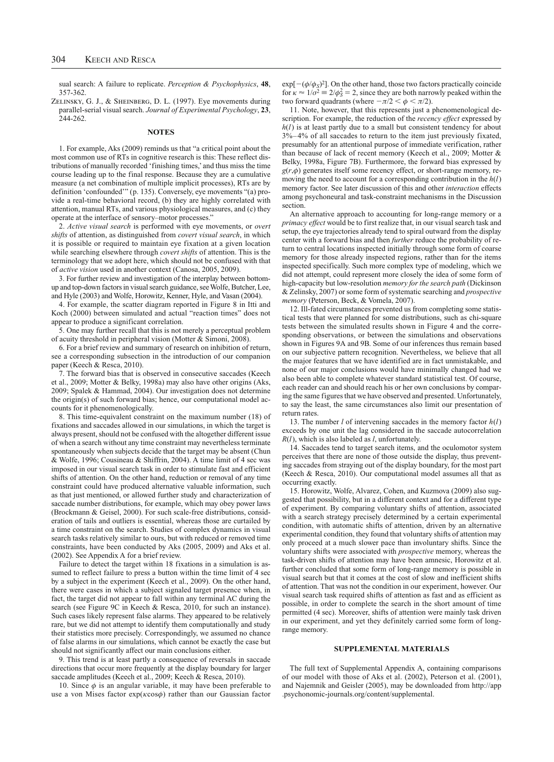sual search: A failure to replicate. *Perception & Psychophysics*, **48**, 357-362.

Zelinsky, G. J., & Sheinberg, D. L. (1997). Eye movements during parallel-serial visual search. *Journal of Experimental Psychology*, **23**, 244-262.

#### **NOTES**

1. For example, Aks (2009) reminds us that "a critical point about the most common use of RTs in cognitive research is this: These reflect distributions of manually recorded 'finishing times,' and thus miss the time course leading up to the final response. Because they are a cumulative measure (a net combination of multiple implicit processes), RTs are by definition 'confounded'" (p. 135). Conversely, eye movements "(a) provide a real-time behavioral record, (b) they are highly correlated with attention, manual RTs, and various physiological measures, and (c) they operate at the interface of sensory–motor processes."

2. *Active visual search* is performed with eye movements, or *overt shifts* of attention, as distinguished from *covert visual search*, in which it is possible or required to maintain eye fixation at a given location while searching elsewhere through *covert shifts* of attention. This is the terminology that we adopt here, which should not be confused with that of *active vision* used in another context (Canosa, 2005, 2009).

3. For further review and investigation of the interplay between bottomup and top-down factors in visual search guidance, see Wolfe, Butcher, Lee, and Hyle (2003) and Wolfe, Horowitz, Kenner, Hyle, and Vasan (2004).

4. For example, the scatter diagram reported in Figure 8 in Itti and Koch (2000) between simulated and actual "reaction times" does not appear to produce a significant correlation.

5. One may further recall that this is not merely a perceptual problem of acuity threshold in peripheral vision (Motter & Simoni, 2008).

6. For a brief review and summary of research on inhibition of return, see a corresponding subsection in the introduction of our companion paper (Keech & Resca, 2010).

7. The forward bias that is observed in consecutive saccades (Keech et al., 2009; Motter & Belky, 1998a) may also have other origins (Aks, 2009; Spalek & Hammad, 2004). Our investigation does not determine the origin(s) of such forward bias; hence, our computational model accounts for it phenomenologically.

8. This time-equivalent constraint on the maximum number (18) of fixations and saccades allowed in our simulations, in which the target is always present, should not be confused with the altogether different issue of when a search without any time constraint may nevertheless terminate spontaneously when subjects decide that the target may be absent (Chun & Wolfe, 1996; Cousineau & Shiffrin, 2004). A time limit of 4 sec was imposed in our visual search task in order to stimulate fast and efficient shifts of attention. On the other hand, reduction or removal of any time constraint could have produced alternative valuable information, such as that just mentioned, or allowed further study and characterization of saccade number distributions, for example, which may obey power laws (Brockmann & Geisel, 2000). For such scale-free distributions, consideration of tails and outliers is essential, whereas those are curtailed by a time constraint on the search. Studies of complex dynamics in visual search tasks relatively similar to ours, but with reduced or removed time constraints, have been conducted by Aks (2005, 2009) and Aks et al. (2002). See Appendix A for a brief review.

Failure to detect the target within 18 fixations in a simulation is assumed to reflect failure to press a button within the time limit of 4 sec by a subject in the experiment (Keech et al., 2009). On the other hand, there were cases in which a subject signaled target presence when, in fact, the target did not appear to fall within any terminal AC during the search (see Figure 9C in Keech & Resca, 2010, for such an instance). Such cases likely represent false alarms. They appeared to be relatively rare, but we did not attempt to identify them computationally and study their statistics more precisely. Correspondingly, we assumed no chance of false alarms in our simulations, which cannot be exactly the case but should not significantly affect our main conclusions either.

9. This trend is at least partly a consequence of reversals in saccade directions that occur more frequently at the display boundary for larger saccade amplitudes (Keech et al., 2009; Keech & Resca, 2010).

10. Since  $\phi$  is an angular variable, it may have been preferable to use a von Mises factor  $exp(\kappa cos \phi)$  rather than our Gaussian factor  $exp[-(\phi/\phi_s)^2]$ . On the other hand, those two factors practically coincide for  $\kappa \approx 1/\sigma^2 \equiv 2/\phi_s^2 = 2$ , since they are both narrowly peaked within the two forward quadrants (where  $-\pi/2 < \phi < \pi/2$ ).

11. Note, however, that this represents just a phenomenological description. For example, the reduction of the *recency effect* expressed by *h*(*l*) is at least partly due to a small but consistent tendency for about 3%–4% of all saccades to return to the item just previously fixated, presumably for an attentional purpose of immediate verification, rather than because of lack of recent memory (Keech et al., 2009; Motter & Belky, 1998a, Figure 7B). Furthermore, the forward bias expressed by  $g(r, \phi)$  generates itself some recency effect, or short-range memory, removing the need to account for a corresponding contribution in the *h*(*l*) memory factor. See later discussion of this and other *interaction* effects among psychoneural and task-constraint mechanisms in the Discussion section.

An alternative approach to accounting for long-range memory or a *primacy effect* would be to first realize that, in our visual search task and setup, the eye trajectories already tend to spiral outward from the display center with a forward bias and then *further* reduce the probability of return to central locations inspected initially through some form of coarse memory for those already inspected regions, rather than for the items inspected specifically. Such more complex type of modeling, which we did not attempt, could represent more closely the idea of some form of high-capacity but low-resolution *memory for the search path* (Dickinson & Zelinsky, 2007) or some form of systematic searching and *prospective memory* (Peterson, Beck, & Vomela, 2007).

12. Ill-fated circumstances prevented us from completing some statistical tests that were planned for some distributions, such as chi-square tests between the simulated results shown in Figure 4 and the corresponding observations, or between the simulations and observations shown in Figures 9A and 9B. Some of our inferences thus remain based on our subjective pattern recognition. Nevertheless, we believe that all the major features that we have identified are in fact unmistakable, and none of our major conclusions would have minimally changed had we also been able to complete whatever standard statistical test. Of course, each reader can and should reach his or her own conclusions by comparing the same figures that we have observed and presented. Unfortunately, to say the least, the same circumstances also limit our presentation of return rates.

13. The number *l* of intervening saccades in the memory factor *h*(*l*) exceeds by one unit the lag considered in the saccade autocorrelation *R*(*l*), which is also labeled as *l*, unfortunately.

14. Saccades tend to target search items, and the oculomotor system perceives that there are none of those outside the display, thus preventing saccades from straying out of the display boundary, for the most part (Keech & Resca, 2010). Our computational model assumes all that as occurring exactly.

15. Horowitz, Wolfe, Alvarez, Cohen, and Kuzmova (2009) also suggested that possibility, but in a different context and for a different type of experiment. By comparing voluntary shifts of attention, associated with a search strategy precisely determined by a certain experimental condition, with automatic shifts of attention, driven by an alternative experimental condition, they found that voluntary shifts of attention may only proceed at a much slower pace than involuntary shifts. Since the voluntary shifts were associated with *prospective* memory, whereas the task-driven shifts of attention may have been amnesic, Horowitz et al. further concluded that some form of long-range memory is possible in visual search but that it comes at the cost of slow and inefficient shifts of attention. That was not the condition in our experiment, however. Our visual search task required shifts of attention as fast and as efficient as possible, in order to complete the search in the short amount of time permitted (4 sec). Moreover, shifts of attention were mainly task driven in our experiment, and yet they definitely carried some form of longrange memory.

#### **SUPPLEMENTAL MATERIALS**

The full text of Supplemental Appendix A, containing comparisons of our model with those of Aks et al. (2002), Peterson et al. (2001), and Najemnik and Geisler (2005), may be downloaded from http://app .psychonomic-journals.org/content/supplemental.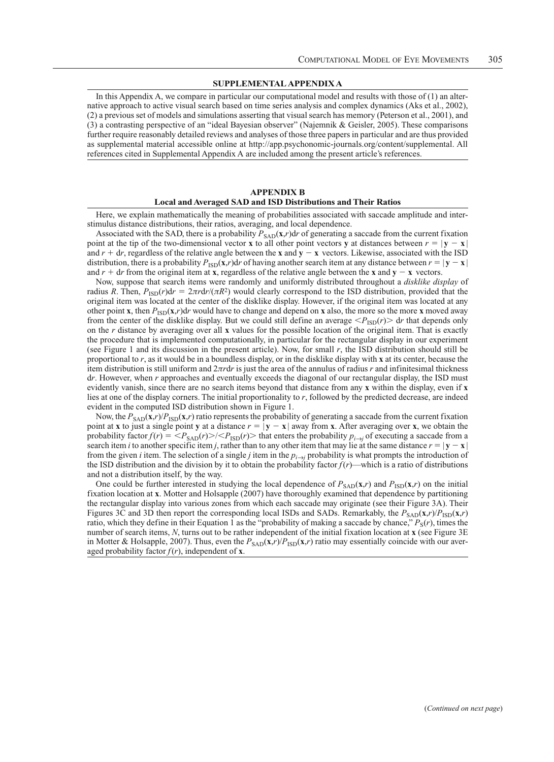### **SUPPLEMENTAL APPENDIX A**

In this Appendix A, we compare in particular our computational model and results with those of (1) an alternative approach to active visual search based on time series analysis and complex dynamics (Aks et al., 2002), (2) a previous set of models and simulations asserting that visual search has memory (Peterson et al., 2001), and (3) a contrasting perspective of an "ideal Bayesian observer" (Najemnik & Geisler, 2005). These comparisons further require reasonably detailed reviews and analyses of those three papers in particular and are thus provided as supplemental material accessible online at http://app.psychonomic-journals.org/content/supplemental. All references cited in Supplemental Appendix A are included among the present article's references.

#### **APPENDIX B Local and Averaged SAD and ISD Distributions and Their Ratios**

Here, we explain mathematically the meaning of probabilities associated with saccade amplitude and interstimulus distance distributions, their ratios, averaging, and local dependence.

Associated with the SAD, there is a probability  $P_{SAD}(\mathbf{x},r)dr$  of generating a saccade from the current fixation int at the tip of the two-dimensional vector **x** to all other point vectors **v** at distances between  $r = |\mathbf$ point at the tip of the two-dimensional vector **x** to all other point vectors **y** at distances between  $r = |y|$ and  $r + dr$ , regardless of the relative angle between the **x** and **y** – **x** vectors. Likewise, associated with the ISD distribution, there is a probability  $P_{\text{ISD}}(\mathbf{x}, r)$ dr of having another search item at any distance between  $r = |\mathbf{y} - \mathbf{x}|$ and  $r + dr$  from the original item at **x**, regardless of the relative angle between the **x** and **y** – **x** vectors.

Now, suppose that search items were randomly and uniformly distributed throughout a *disklike display* of radius *R*. Then,  $P_{\text{ISD}}(r)dr = 2\pi r dr / (\pi R^2)$  would clearly correspond to the ISD distribution, provided that the original item was located at the center of the disklike display. However, if the original item was located at any other point **x**, then  $P_{\text{ISD}}(\mathbf{x}, r)$ dr would have to change and depend on **x** also, the more so the more **x** moved away from the center of the disklike display. But we could still define an average  $\langle P_{\text{ISD}}(r) \rangle$  dr that depends only on the *r* distance by averaging over all **x** values for the possible location of the original item. That is exactly the procedure that is implemented computationally, in particular for the rectangular display in our experiment (see Figure 1 and its discussion in the present article). Now, for small *r*, the ISD distribution should still be proportional to *r*, as it would be in a boundless display, or in the disklike display with **x** at its center, because the item distribution is still uniform and  $2\pi r dr$  is just the area of the annulus of radius *r* and infinitesimal thickness d*r*. However, when *r* approaches and eventually exceeds the diagonal of our rectangular display, the ISD must evidently vanish, since there are no search items beyond that distance from any **x** within the display, even if **x** lies at one of the display corners. The initial proportionality to *r*, followed by the predicted decrease, are indeed evident in the computed ISD distribution shown in Figure 1.

Now, the  $P_{SAD}(\mathbf{x},r)/P_{\text{ISD}}(\mathbf{x},r)$  ratio represents the probability of generating a saccade from the current fixation point at **x** to just a single point **y** at a distance  $r = |y - x|$  away from **x**. After averaging over **x**, we obtain the probability factor  $f(r) = \langle P_{\text{SAD}}(r) \rangle / \langle P_{\text{ISD}}(r) \rangle$  that enters the probability  $p_{i\to j}$  of executing a saccade from a search item *i* to another specific item *j*, rather than to any other item that may lie at the same distance  $r = |y - x|$ from the given *i* item. The selection of a single *j* item in the  $p_{i\to j}$  probability is what prompts the introduction of the ISD distribution and the division by it to obtain the probability factor  $f(r)$ —which is a ratio of distributions and not a distribution itself, by the way.

One could be further interested in studying the local dependence of  $P_{\text{SAD}}(x,r)$  and  $P_{\text{ISD}}(x,r)$  on the initial fixation location at **x**. Motter and Holsapple (2007) have thoroughly examined that dependence by partitioning the rectangular display into various zones from which each saccade may originate (see their Figure 3A). Their Figures 3C and 3D then report the corresponding local ISDs and SADs. Remarkably, the  $P_{SAD}(\mathbf{x}, r)/P_{\text{ISD}}(\mathbf{x}, r)$ ratio, which they define in their Equation 1 as the "probability of making a saccade by chance,"  $P_S(r)$ , times the number of search items, N, turns out to be rather independent of the initial fixation location at **x** (see Figure 3E) in Motter & Holsapple, 2007). Thus, even the  $P_{SAD}(\mathbf{x},r)/P_{\text{ISD}}(\mathbf{x},r)$  ratio may essentially coincide with our averaged probability factor  $f(r)$ , independent of **x**.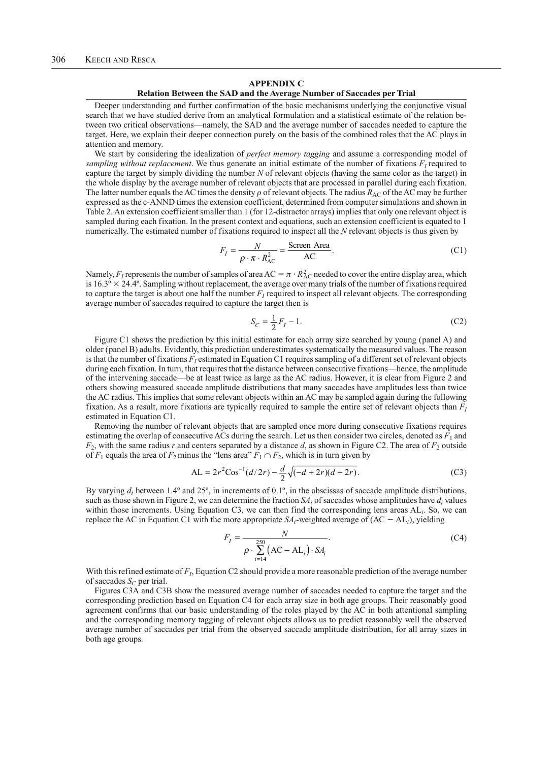#### **APPENDIX C**

## **Relation Between the SAD and the Average Number of Saccades per Trial**

Deeper understanding and further confirmation of the basic mechanisms underlying the conjunctive visual search that we have studied derive from an analytical formulation and a statistical estimate of the relation between two critical observations—namely, the SAD and the average number of saccades needed to capture the target. Here, we explain their deeper connection purely on the basis of the combined roles that the AC plays in attention and memory.

We start by considering the idealization of *perfect memory tagging* and assume a corresponding model of *sampling without replacement*. We thus generate an initial estimate of the number of fixations  $F_I$  required to capture the target by simply dividing the number *N* of relevant objects (having the same color as the target) in the whole display by the average number of relevant objects that are processed in parallel during each fixation. The latter number equals the AC times the density  $\rho$  of relevant objects. The radius  $R_{AC}$  of the AC may be further expressed as the c-ANND times the extension coefficient, determined from computer simulations and shown in Table 2. An extension coefficient smaller than 1 (for 12-distractor arrays) implies that only one relevant object is sampled during each fixation. In the present context and equations, such an extension coefficient is equated to 1 numerically. The estimated number of fixations required to inspect all the *N* relevant objects is thus given by

$$
F_I = \frac{N}{\rho \cdot \pi \cdot R_{AC}^2} = \frac{\text{Screen Area}}{\text{AC}}.
$$
 (C1)

Namely,  $F_I$  represents the number of samples of area AC =  $\pi \cdot R_{AC}^2$  needed to cover the entire display area, which is  $16.3^\circ \times 24.4^\circ$ . Sampling without replacement, the average over many trials of the number of fixations required to capture the target is about one half the number  $F_I$  required to inspect all relevant objects. The corresponding average number of saccades required to capture the target then is

$$
S_C = \frac{1}{2}F_I - 1.
$$
 (C2)

Figure C1 shows the prediction by this initial estimate for each array size searched by young (panel A) and older (panel B) adults. Evidently, this prediction underestimates systematically the measured values. The reason is that the number of fixations  $F_I$  estimated in Equation C1 requires sampling of a different set of relevant objects during each fixation. In turn, that requires that the distance between consecutive fixations—hence, the amplitude of the intervening saccade—be at least twice as large as the AC radius. However, it is clear from Figure 2 and others showing measured saccade amplitude distributions that many saccades have amplitudes less than twice the AC radius. This implies that some relevant objects within an AC may be sampled again during the following fixation. As a result, more fixations are typically required to sample the entire set of relevant objects than *FI* estimated in Equation C1.

Removing the number of relevant objects that are sampled once more during consecutive fixations requires estimating the overlap of consecutive ACs during the search. Let us then consider two circles, denoted as *F*1 and *F*2, with the same radius *r* and centers separated by a distance *d*, as shown in Figure C2. The area of *F*2 outside of  $F_1$  equals the area of  $F_2$  minus the "lens area"  $F_1 \cap F_2$ , which is in turn given by

$$
AL = 2r^{2}Cos^{-1}(d/2r) - \frac{d}{2}\sqrt{(-d+2r)(d+2r)}.
$$
 (C3)

By varying *di* between 1.4º and 25º, in increments of 0.1º, in the abscissas of saccade amplitude distributions, such as those shown in Figure 2, we can determine the fraction *SAi* of saccades whose amplitudes have *di* values within those increments. Using Equation C3, we can then find the corresponding lens areas AL*i*. So, we can replace the AC in Equation C1 with the more appropriate  $SA_i$ -weighted average of  $(AC - AL_i)$ , yielding

$$
F_I = \frac{N}{\rho \cdot \sum_{i=14}^{250} (\text{AC} - \text{AL}_i) \cdot SA_i}.
$$
 (C4)

With this refined estimate of *F<sub>I</sub>*, Equation C2 should provide a more reasonable prediction of the average number of saccades  $S_C$  per trial.

Figures C3A and C3B show the measured average number of saccades needed to capture the target and the corresponding prediction based on Equation C4 for each array size in both age groups. Their reasonably good agreement confirms that our basic understanding of the roles played by the AC in both attentional sampling and the corresponding memory tagging of relevant objects allows us to predict reasonably well the observed average number of saccades per trial from the observed saccade amplitude distribution, for all array sizes in both age groups.